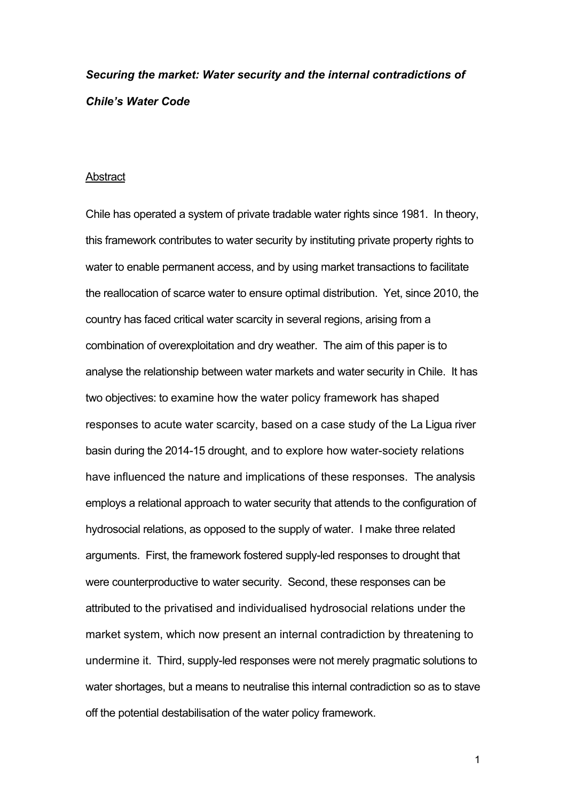# *Securing the market: Water security and the internal contradictions of Chile's Water Code*

#### **Abstract**

Chile has operated a system of private tradable water rights since 1981. In theory, this framework contributes to water security by instituting private property rights to water to enable permanent access, and by using market transactions to facilitate the reallocation of scarce water to ensure optimal distribution. Yet, since 2010, the country has faced critical water scarcity in several regions, arising from a combination of overexploitation and dry weather. The aim of this paper is to analyse the relationship between water markets and water security in Chile. It has two objectives: to examine how the water policy framework has shaped responses to acute water scarcity, based on a case study of the La Ligua river basin during the 2014-15 drought, and to explore how water-society relations have influenced the nature and implications of these responses. The analysis employs a relational approach to water security that attends to the configuration of hydrosocial relations, as opposed to the supply of water. I make three related arguments. First, the framework fostered supply-led responses to drought that were counterproductive to water security. Second, these responses can be attributed to the privatised and individualised hydrosocial relations under the market system, which now present an internal contradiction by threatening to undermine it. Third, supply-led responses were not merely pragmatic solutions to water shortages, but a means to neutralise this internal contradiction so as to stave off the potential destabilisation of the water policy framework.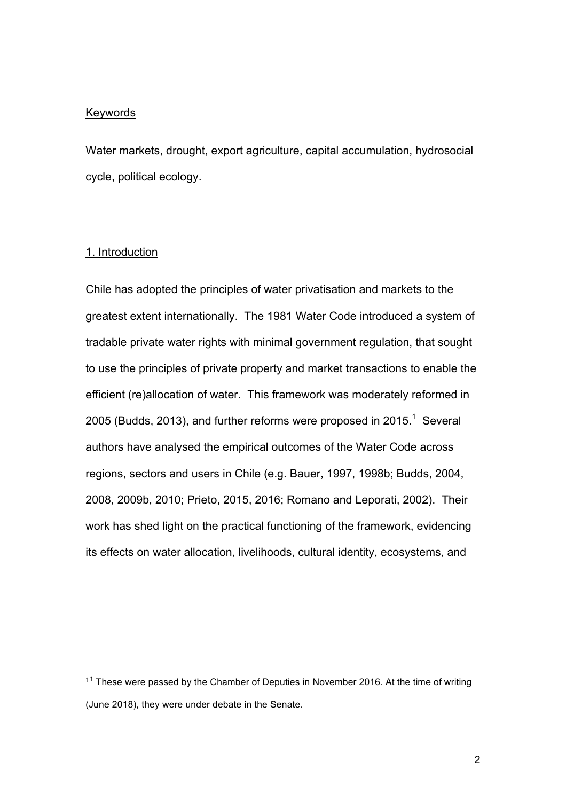#### **Keywords**

Water markets, drought, export agriculture, capital accumulation, hydrosocial cycle, political ecology.

#### 1. Introduction

 

Chile has adopted the principles of water privatisation and markets to the greatest extent internationally. The 1981 Water Code introduced a system of tradable private water rights with minimal government regulation, that sought to use the principles of private property and market transactions to enable the efficient (re)allocation of water. This framework was moderately reformed in 2005 (Budds, 2013), and further reforms were proposed in 2015.<sup>1</sup> Several authors have analysed the empirical outcomes of the Water Code across regions, sectors and users in Chile (e.g. Bauer, 1997, 1998b; Budds, 2004, 2008, 2009b, 2010; Prieto, 2015, 2016; Romano and Leporati, 2002). Their work has shed light on the practical functioning of the framework, evidencing its effects on water allocation, livelihoods, cultural identity, ecosystems, and

 $1<sup>1</sup>$  These were passed by the Chamber of Deputies in November 2016. At the time of writing (June 2018), they were under debate in the Senate.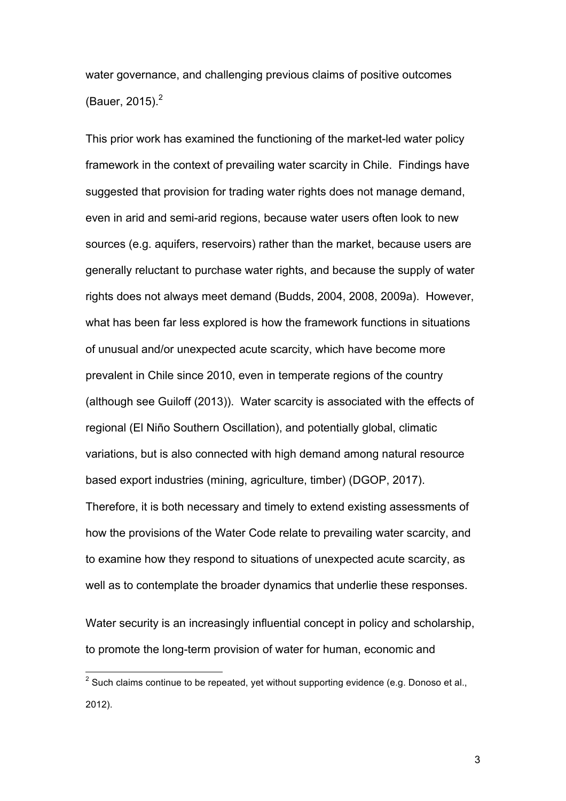water governance, and challenging previous claims of positive outcomes (Bauer, 2015). $^{2}$ 

This prior work has examined the functioning of the market-led water policy framework in the context of prevailing water scarcity in Chile. Findings have suggested that provision for trading water rights does not manage demand, even in arid and semi-arid regions, because water users often look to new sources (e.g. aquifers, reservoirs) rather than the market, because users are generally reluctant to purchase water rights, and because the supply of water rights does not always meet demand (Budds, 2004, 2008, 2009a). However, what has been far less explored is how the framework functions in situations of unusual and/or unexpected acute scarcity, which have become more prevalent in Chile since 2010, even in temperate regions of the country (although see Guiloff (2013)). Water scarcity is associated with the effects of regional (El Niño Southern Oscillation), and potentially global, climatic variations, but is also connected with high demand among natural resource based export industries (mining, agriculture, timber) (DGOP, 2017). Therefore, it is both necessary and timely to extend existing assessments of how the provisions of the Water Code relate to prevailing water scarcity, and to examine how they respond to situations of unexpected acute scarcity, as well as to contemplate the broader dynamics that underlie these responses.

Water security is an increasingly influential concept in policy and scholarship, to promote the long-term provision of water for human, economic and

 <sup>2</sup> Such claims continue to be repeated, yet without supporting evidence (e.g. Donoso et al., 2012).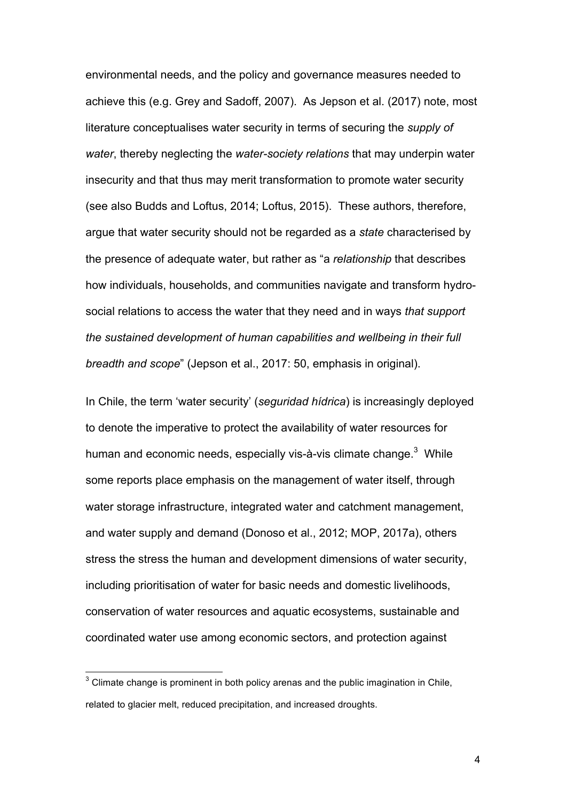environmental needs, and the policy and governance measures needed to achieve this (e.g. Grey and Sadoff, 2007). As Jepson et al. (2017) note, most literature conceptualises water security in terms of securing the *supply of water*, thereby neglecting the *water-society relations* that may underpin water insecurity and that thus may merit transformation to promote water security (see also Budds and Loftus, 2014; Loftus, 2015). These authors, therefore, argue that water security should not be regarded as a *state* characterised by the presence of adequate water, but rather as "a *relationship* that describes how individuals, households, and communities navigate and transform hydrosocial relations to access the water that they need and in ways *that support the sustained development of human capabilities and wellbeing in their full breadth and scope*" (Jepson et al., 2017: 50, emphasis in original).

In Chile, the term 'water security' (*seguridad hídrica*) is increasingly deployed to denote the imperative to protect the availability of water resources for human and economic needs, especially vis-à-vis climate change.<sup>3</sup> While some reports place emphasis on the management of water itself, through water storage infrastructure, integrated water and catchment management, and water supply and demand (Donoso et al., 2012; MOP, 2017a), others stress the stress the human and development dimensions of water security, including prioritisation of water for basic needs and domestic livelihoods, conservation of water resources and aquatic ecosystems, sustainable and coordinated water use among economic sectors, and protection against

<sup>&</sup>lt;u>2</u><br><sup>3</sup> Climate change is prominent in both policy arenas and the public imagination in Chile, related to glacier melt, reduced precipitation, and increased droughts.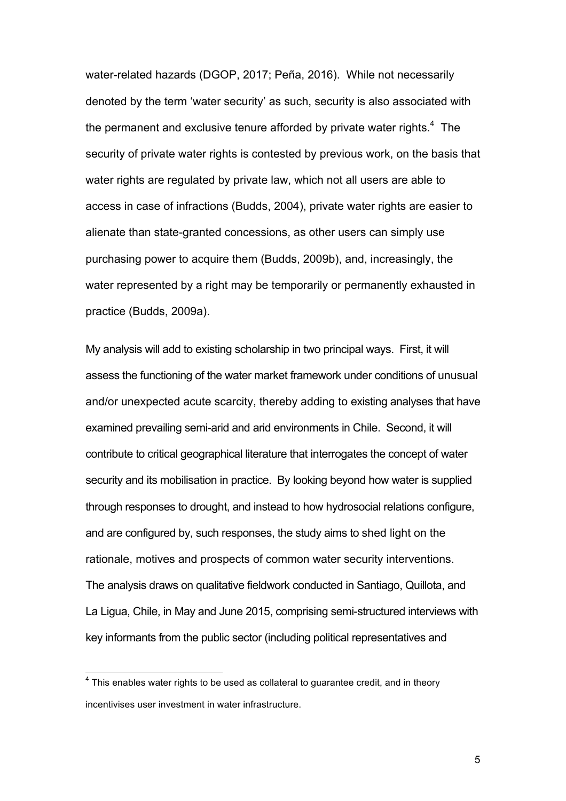water-related hazards (DGOP, 2017; Peña, 2016). While not necessarily denoted by the term 'water security' as such, security is also associated with the permanent and exclusive tenure afforded by private water rights. $4$  The security of private water rights is contested by previous work, on the basis that water rights are regulated by private law, which not all users are able to access in case of infractions (Budds, 2004), private water rights are easier to alienate than state-granted concessions, as other users can simply use purchasing power to acquire them (Budds, 2009b), and, increasingly, the water represented by a right may be temporarily or permanently exhausted in practice (Budds, 2009a).

My analysis will add to existing scholarship in two principal ways. First, it will assess the functioning of the water market framework under conditions of unusual and/or unexpected acute scarcity, thereby adding to existing analyses that have examined prevailing semi-arid and arid environments in Chile. Second, it will contribute to critical geographical literature that interrogates the concept of water security and its mobilisation in practice. By looking beyond how water is supplied through responses to drought, and instead to how hydrosocial relations configure, and are configured by, such responses, the study aims to shed light on the rationale, motives and prospects of common water security interventions. The analysis draws on qualitative fieldwork conducted in Santiago, Quillota, and La Ligua, Chile, in May and June 2015, comprising semi-structured interviews with key informants from the public sector (including political representatives and

 $4$  This enables water rights to be used as collateral to quarantee credit, and in theory incentivises user investment in water infrastructure.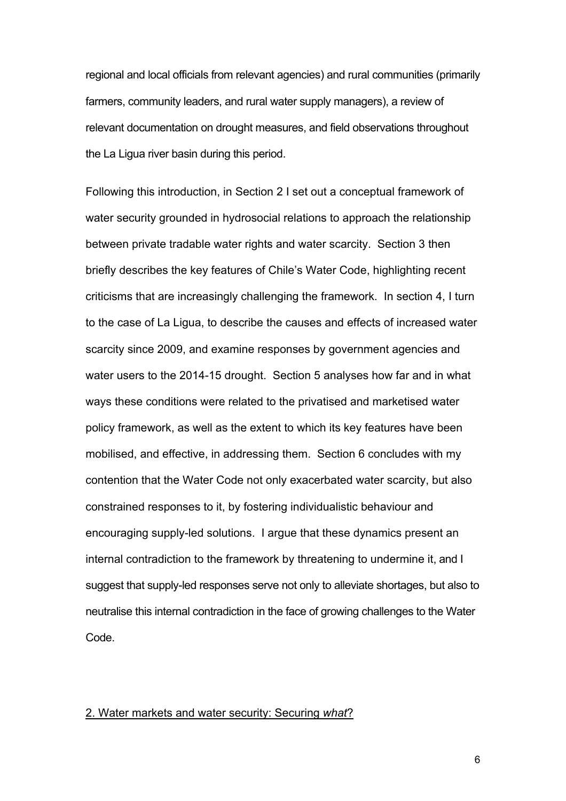regional and local officials from relevant agencies) and rural communities (primarily farmers, community leaders, and rural water supply managers), a review of relevant documentation on drought measures, and field observations throughout the La Ligua river basin during this period.

Following this introduction, in Section 2 I set out a conceptual framework of water security grounded in hydrosocial relations to approach the relationship between private tradable water rights and water scarcity. Section 3 then briefly describes the key features of Chile's Water Code, highlighting recent criticisms that are increasingly challenging the framework. In section 4, I turn to the case of La Ligua, to describe the causes and effects of increased water scarcity since 2009, and examine responses by government agencies and water users to the 2014-15 drought. Section 5 analyses how far and in what ways these conditions were related to the privatised and marketised water policy framework, as well as the extent to which its key features have been mobilised, and effective, in addressing them. Section 6 concludes with my contention that the Water Code not only exacerbated water scarcity, but also constrained responses to it, by fostering individualistic behaviour and encouraging supply-led solutions. I argue that these dynamics present an internal contradiction to the framework by threatening to undermine it, and I suggest that supply-led responses serve not only to alleviate shortages, but also to neutralise this internal contradiction in the face of growing challenges to the Water Code.

#### 2. Water markets and water security: Securing *what*?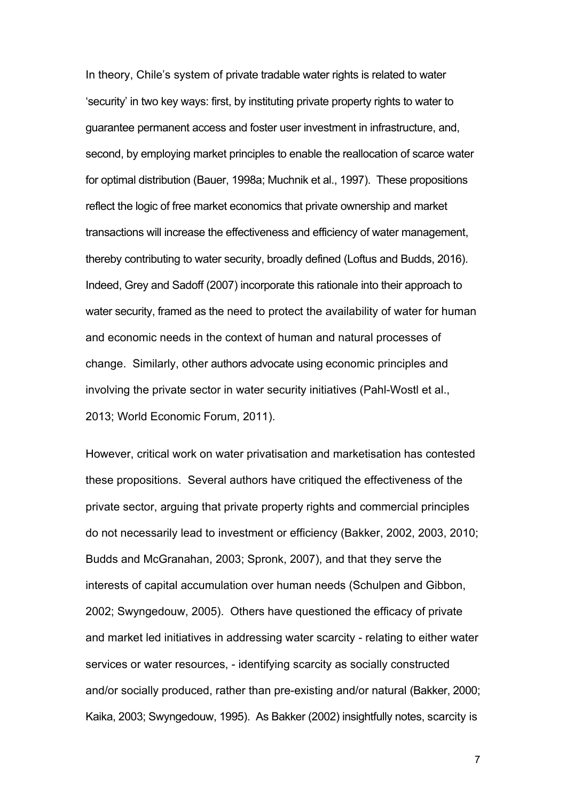In theory, Chile's system of private tradable water rights is related to water 'security' in two key ways: first, by instituting private property rights to water to guarantee permanent access and foster user investment in infrastructure, and, second, by employing market principles to enable the reallocation of scarce water for optimal distribution (Bauer, 1998a; Muchnik et al., 1997). These propositions reflect the logic of free market economics that private ownership and market transactions will increase the effectiveness and efficiency of water management, thereby contributing to water security, broadly defined (Loftus and Budds, 2016). Indeed, Grey and Sadoff (2007) incorporate this rationale into their approach to water security, framed as the need to protect the availability of water for human and economic needs in the context of human and natural processes of change. Similarly, other authors advocate using economic principles and involving the private sector in water security initiatives (Pahl-Wostl et al., 2013; World Economic Forum, 2011).

However, critical work on water privatisation and marketisation has contested these propositions. Several authors have critiqued the effectiveness of the private sector, arguing that private property rights and commercial principles do not necessarily lead to investment or efficiency (Bakker, 2002, 2003, 2010; Budds and McGranahan, 2003; Spronk, 2007), and that they serve the interests of capital accumulation over human needs (Schulpen and Gibbon, 2002; Swyngedouw, 2005). Others have questioned the efficacy of private and market led initiatives in addressing water scarcity - relating to either water services or water resources, - identifying scarcity as socially constructed and/or socially produced, rather than pre-existing and/or natural (Bakker, 2000; Kaika, 2003; Swyngedouw, 1995). As Bakker (2002) insightfully notes, scarcity is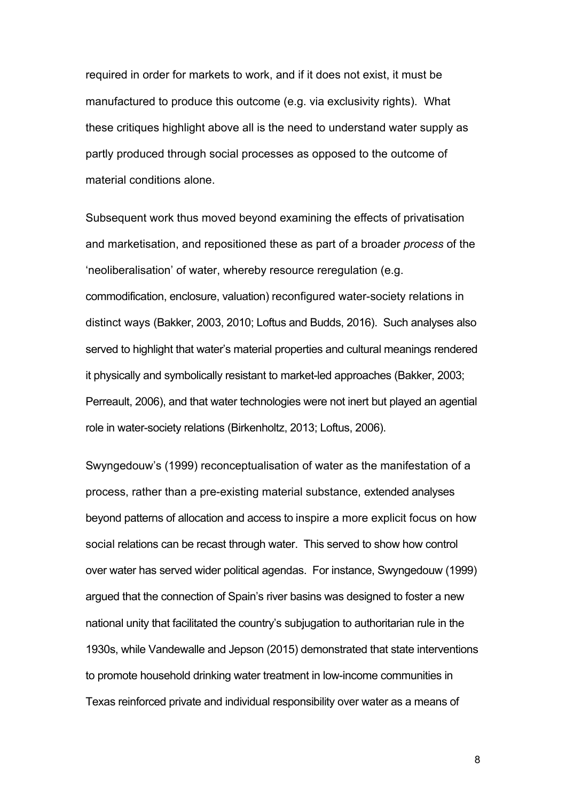required in order for markets to work, and if it does not exist, it must be manufactured to produce this outcome (e.g. via exclusivity rights). What these critiques highlight above all is the need to understand water supply as partly produced through social processes as opposed to the outcome of material conditions alone.

Subsequent work thus moved beyond examining the effects of privatisation and marketisation, and repositioned these as part of a broader *process* of the 'neoliberalisation' of water, whereby resource reregulation (e.g. commodification, enclosure, valuation) reconfigured water-society relations in distinct ways (Bakker, 2003, 2010; Loftus and Budds, 2016). Such analyses also served to highlight that water's material properties and cultural meanings rendered it physically and symbolically resistant to market-led approaches (Bakker, 2003; Perreault, 2006), and that water technologies were not inert but played an agential role in water-society relations (Birkenholtz, 2013; Loftus, 2006).

Swyngedouw's (1999) reconceptualisation of water as the manifestation of a process, rather than a pre-existing material substance, extended analyses beyond patterns of allocation and access to inspire a more explicit focus on how social relations can be recast through water. This served to show how control over water has served wider political agendas. For instance, Swyngedouw (1999) argued that the connection of Spain's river basins was designed to foster a new national unity that facilitated the country's subjugation to authoritarian rule in the 1930s, while Vandewalle and Jepson (2015) demonstrated that state interventions to promote household drinking water treatment in low-income communities in Texas reinforced private and individual responsibility over water as a means of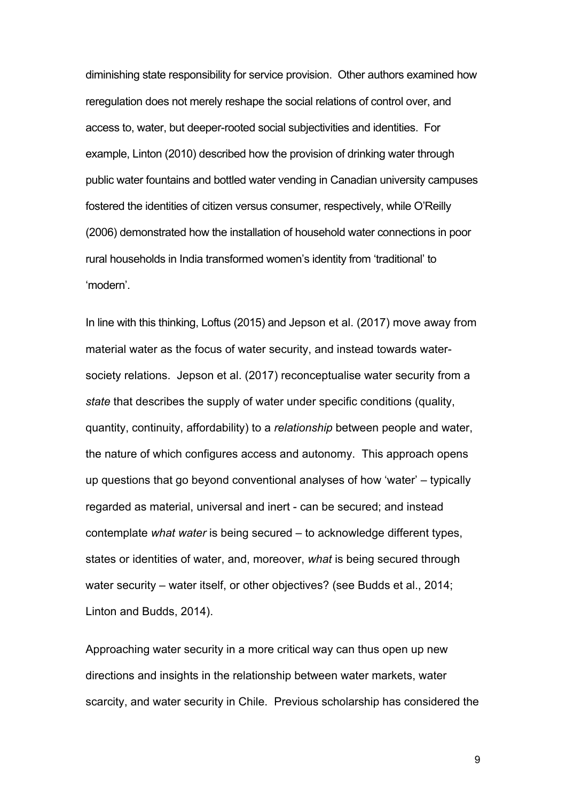diminishing state responsibility for service provision. Other authors examined how reregulation does not merely reshape the social relations of control over, and access to, water, but deeper-rooted social subjectivities and identities. For example, Linton (2010) described how the provision of drinking water through public water fountains and bottled water vending in Canadian university campuses fostered the identities of citizen versus consumer, respectively, while O'Reilly (2006) demonstrated how the installation of household water connections in poor rural households in India transformed women's identity from 'traditional' to 'modern'.

In line with this thinking, Loftus (2015) and Jepson et al. (2017) move away from material water as the focus of water security, and instead towards watersociety relations. Jepson et al. (2017) reconceptualise water security from a *state* that describes the supply of water under specific conditions (quality, quantity, continuity, affordability) to a *relationship* between people and water, the nature of which configures access and autonomy. This approach opens up questions that go beyond conventional analyses of how 'water' – typically regarded as material, universal and inert - can be secured; and instead contemplate *what water* is being secured – to acknowledge different types, states or identities of water, and, moreover, *what* is being secured through water security – water itself, or other objectives? (see Budds et al., 2014; Linton and Budds, 2014).

Approaching water security in a more critical way can thus open up new directions and insights in the relationship between water markets, water scarcity, and water security in Chile. Previous scholarship has considered the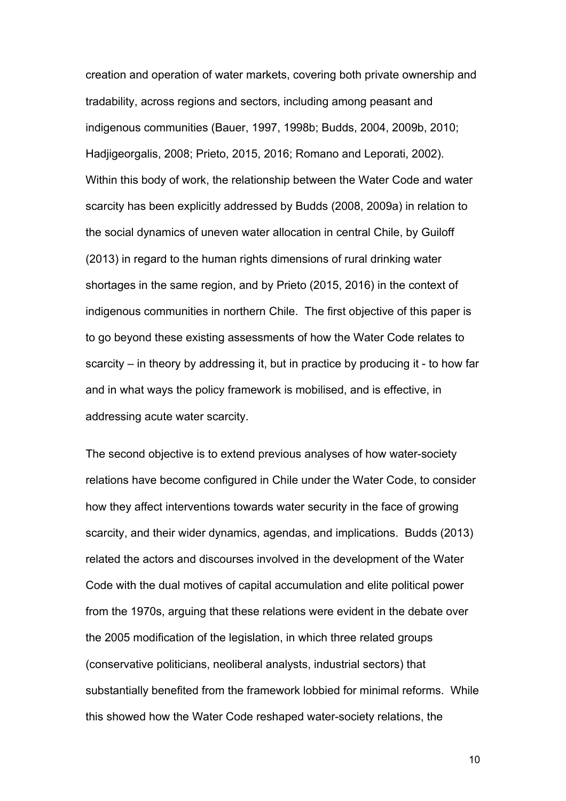creation and operation of water markets, covering both private ownership and tradability, across regions and sectors, including among peasant and indigenous communities (Bauer, 1997, 1998b; Budds, 2004, 2009b, 2010; Hadjigeorgalis, 2008; Prieto, 2015, 2016; Romano and Leporati, 2002). Within this body of work, the relationship between the Water Code and water scarcity has been explicitly addressed by Budds (2008, 2009a) in relation to the social dynamics of uneven water allocation in central Chile, by Guiloff (2013) in regard to the human rights dimensions of rural drinking water shortages in the same region, and by Prieto (2015, 2016) in the context of indigenous communities in northern Chile. The first objective of this paper is to go beyond these existing assessments of how the Water Code relates to scarcity – in theory by addressing it, but in practice by producing it - to how far and in what ways the policy framework is mobilised, and is effective, in addressing acute water scarcity.

The second objective is to extend previous analyses of how water-society relations have become configured in Chile under the Water Code, to consider how they affect interventions towards water security in the face of growing scarcity, and their wider dynamics, agendas, and implications. Budds (2013) related the actors and discourses involved in the development of the Water Code with the dual motives of capital accumulation and elite political power from the 1970s, arguing that these relations were evident in the debate over the 2005 modification of the legislation, in which three related groups (conservative politicians, neoliberal analysts, industrial sectors) that substantially benefited from the framework lobbied for minimal reforms. While this showed how the Water Code reshaped water-society relations, the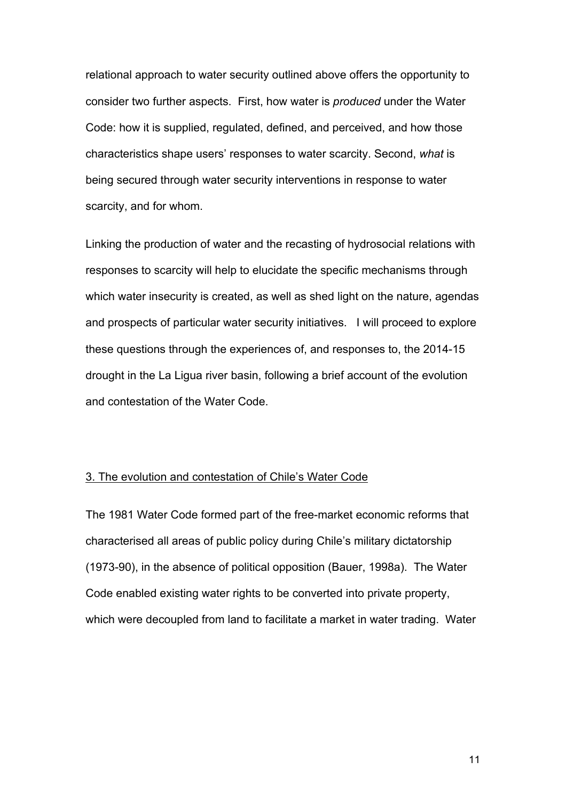relational approach to water security outlined above offers the opportunity to consider two further aspects. First, how water is *produced* under the Water Code: how it is supplied, regulated, defined, and perceived, and how those characteristics shape users' responses to water scarcity. Second, *what* is being secured through water security interventions in response to water scarcity, and for whom.

Linking the production of water and the recasting of hydrosocial relations with responses to scarcity will help to elucidate the specific mechanisms through which water insecurity is created, as well as shed light on the nature, agendas and prospects of particular water security initiatives. I will proceed to explore these questions through the experiences of, and responses to, the 2014-15 drought in the La Ligua river basin, following a brief account of the evolution and contestation of the Water Code.

## 3. The evolution and contestation of Chile's Water Code

The 1981 Water Code formed part of the free-market economic reforms that characterised all areas of public policy during Chile's military dictatorship (1973-90), in the absence of political opposition (Bauer, 1998a). The Water Code enabled existing water rights to be converted into private property, which were decoupled from land to facilitate a market in water trading. Water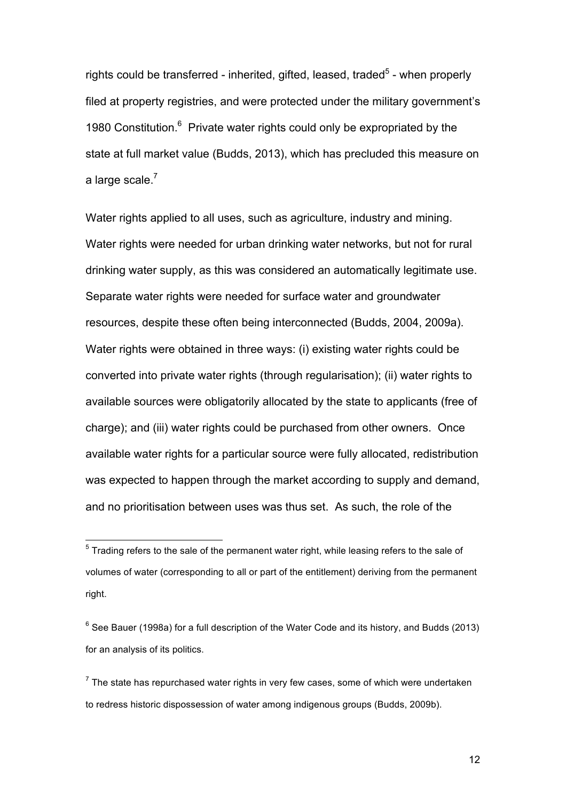rights could be transferred - inherited, gifted, leased, traded<sup>5</sup> - when properly filed at property registries, and were protected under the military government's 1980 Constitution.<sup>6</sup> Private water rights could only be expropriated by the state at full market value (Budds, 2013), which has precluded this measure on a large scale.<sup>7</sup>

Water rights applied to all uses, such as agriculture, industry and mining. Water rights were needed for urban drinking water networks, but not for rural drinking water supply, as this was considered an automatically legitimate use. Separate water rights were needed for surface water and groundwater resources, despite these often being interconnected (Budds, 2004, 2009a). Water rights were obtained in three ways: (i) existing water rights could be converted into private water rights (through regularisation); (ii) water rights to available sources were obligatorily allocated by the state to applicants (free of charge); and (iii) water rights could be purchased from other owners. Once available water rights for a particular source were fully allocated, redistribution was expected to happen through the market according to supply and demand, and no prioritisation between uses was thus set. As such, the role of the

<sup>————————————————————&</sup>lt;br><sup>5</sup> Trading refers to the sale of the permanent water right, while leasing refers to the sale of volumes of water (corresponding to all or part of the entitlement) deriving from the permanent right.

 $6$  See Bauer (1998a) for a full description of the Water Code and its history, and Budds (2013) for an analysis of its politics.

 $^7$  The state has repurchased water rights in very few cases, some of which were undertaken to redress historic dispossession of water among indigenous groups (Budds, 2009b).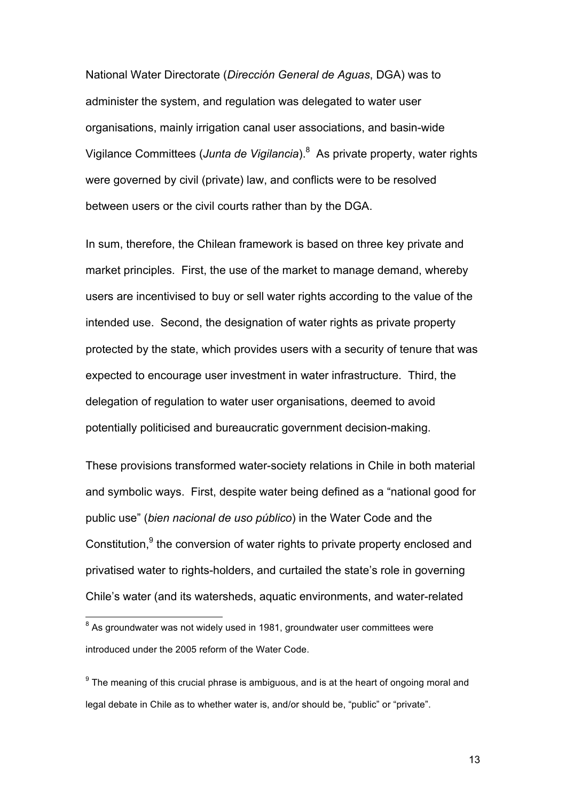National Water Directorate (*Dirección General de Aguas*, DGA) was to administer the system, and regulation was delegated to water user organisations, mainly irrigation canal user associations, and basin-wide Vigilance Committees (*Junta de Vigilancia*). 8 As private property, water rights were governed by civil (private) law, and conflicts were to be resolved between users or the civil courts rather than by the DGA.

In sum, therefore, the Chilean framework is based on three key private and market principles. First, the use of the market to manage demand, whereby users are incentivised to buy or sell water rights according to the value of the intended use. Second, the designation of water rights as private property protected by the state, which provides users with a security of tenure that was expected to encourage user investment in water infrastructure. Third, the delegation of regulation to water user organisations, deemed to avoid potentially politicised and bureaucratic government decision-making.

These provisions transformed water-society relations in Chile in both material and symbolic ways. First, despite water being defined as a "national good for public use" (*bien nacional de uso público*) in the Water Code and the Constitution,<sup>9</sup> the conversion of water rights to private property enclosed and privatised water to rights-holders, and curtailed the state's role in governing Chile's water (and its watersheds, aquatic environments, and water-related

 $8$  As groundwater was not widely used in 1981, groundwater user committees were introduced under the 2005 reform of the Water Code.

 $9^9$  The meaning of this crucial phrase is ambiguous, and is at the heart of ongoing moral and legal debate in Chile as to whether water is, and/or should be, "public" or "private".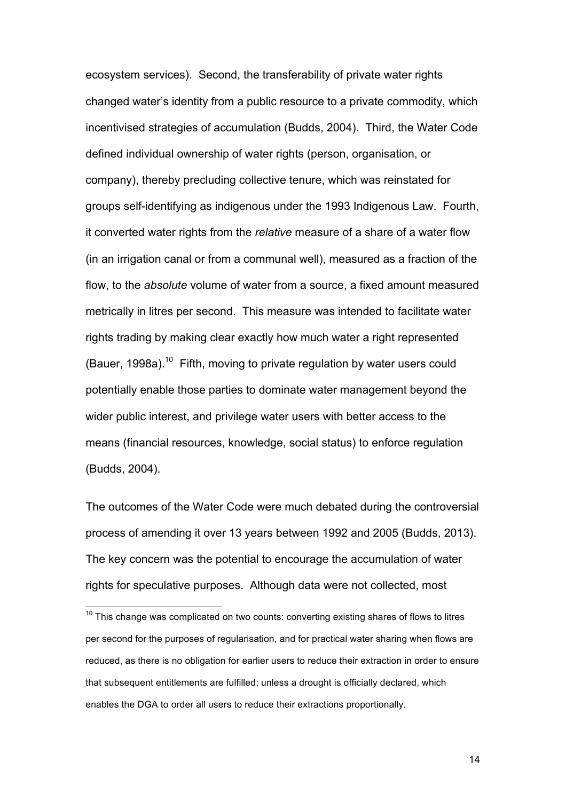ecosystem services). Second, the transferability of private water rights changed water's identity from a public resource to a private commodity, which incentivised strategies of accumulation (Budds, 2004). Third, the Water Code defined individual ownership of water rights (person, organisation, or company), thereby precluding collective tenure, which was reinstated for groups self-identifying as indigenous under the 1993 Indigenous Law. Fourth, it converted water rights from the *relative* measure of a share of a water flow (in an irrigation canal or from a communal well), measured as a fraction of the flow, to the *absolute* volume of water from a source, a fixed amount measured metrically in litres per second. This measure was intended to facilitate water rights trading by making clear exactly how much water a right represented (Bauer, 1998a).<sup>10</sup> Fifth, moving to private regulation by water users could potentially enable those parties to dominate water management beyond the wider public interest, and privilege water users with better access to the means (financial resources, knowledge, social status) to enforce regulation (Budds, 2004).

The outcomes of the Water Code were much debated during the controversial process of amending it over 13 years between 1992 and 2005 (Budds, 2013). The key concern was the potential to encourage the accumulation of water rights for speculative purposes. Although data were not collected, most

 $10$  This change was complicated on two counts: converting existing shares of flows to litres per second for the purposes of regularisation, and for practical water sharing when flows are reduced, as there is no obligation for earlier users to reduce their extraction in order to ensure that subsequent entitlements are fulfilled; unless a drought is officially declared, which enables the DGA to order all users to reduce their extractions proportionally.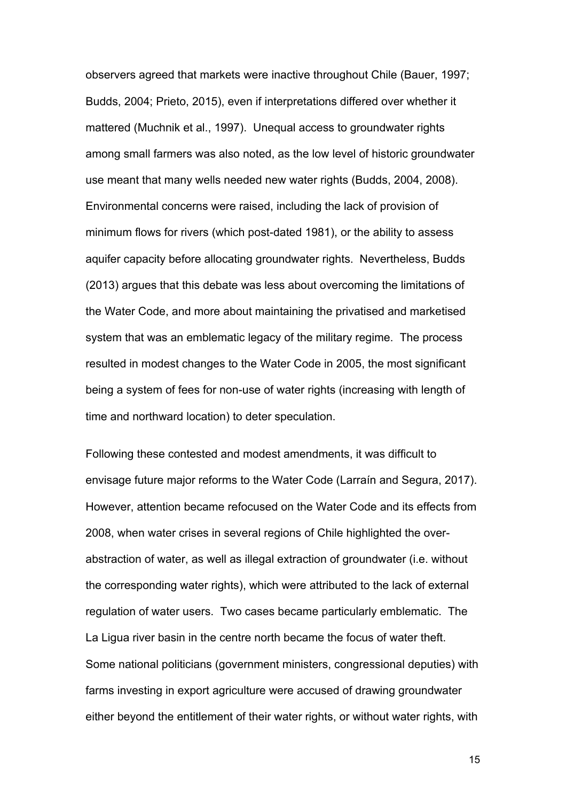observers agreed that markets were inactive throughout Chile (Bauer, 1997; Budds, 2004; Prieto, 2015), even if interpretations differed over whether it mattered (Muchnik et al., 1997). Unequal access to groundwater rights among small farmers was also noted, as the low level of historic groundwater use meant that many wells needed new water rights (Budds, 2004, 2008). Environmental concerns were raised, including the lack of provision of minimum flows for rivers (which post-dated 1981), or the ability to assess aquifer capacity before allocating groundwater rights. Nevertheless, Budds (2013) argues that this debate was less about overcoming the limitations of the Water Code, and more about maintaining the privatised and marketised system that was an emblematic legacy of the military regime. The process resulted in modest changes to the Water Code in 2005, the most significant being a system of fees for non-use of water rights (increasing with length of time and northward location) to deter speculation.

Following these contested and modest amendments, it was difficult to envisage future major reforms to the Water Code (Larraín and Segura, 2017). However, attention became refocused on the Water Code and its effects from 2008, when water crises in several regions of Chile highlighted the overabstraction of water, as well as illegal extraction of groundwater (i.e. without the corresponding water rights), which were attributed to the lack of external regulation of water users. Two cases became particularly emblematic. The La Ligua river basin in the centre north became the focus of water theft. Some national politicians (government ministers, congressional deputies) with farms investing in export agriculture were accused of drawing groundwater either beyond the entitlement of their water rights, or without water rights, with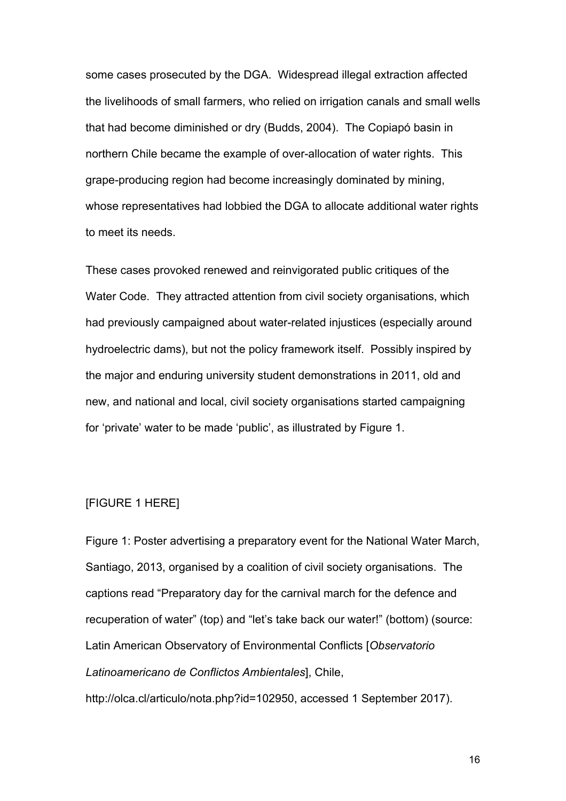some cases prosecuted by the DGA. Widespread illegal extraction affected the livelihoods of small farmers, who relied on irrigation canals and small wells that had become diminished or dry (Budds, 2004). The Copiapó basin in northern Chile became the example of over-allocation of water rights. This grape-producing region had become increasingly dominated by mining, whose representatives had lobbied the DGA to allocate additional water rights to meet its needs.

These cases provoked renewed and reinvigorated public critiques of the Water Code. They attracted attention from civil society organisations, which had previously campaigned about water-related injustices (especially around hydroelectric dams), but not the policy framework itself. Possibly inspired by the major and enduring university student demonstrations in 2011, old and new, and national and local, civil society organisations started campaigning for 'private' water to be made 'public', as illustrated by Figure 1.

#### [FIGURE 1 HERE]

Figure 1: Poster advertising a preparatory event for the National Water March, Santiago, 2013, organised by a coalition of civil society organisations. The captions read "Preparatory day for the carnival march for the defence and recuperation of water" (top) and "let's take back our water!" (bottom) (source: Latin American Observatory of Environmental Conflicts [*Observatorio Latinoamericano de Conflictos Ambientales*], Chile,

http://olca.cl/articulo/nota.php?id=102950, accessed 1 September 2017).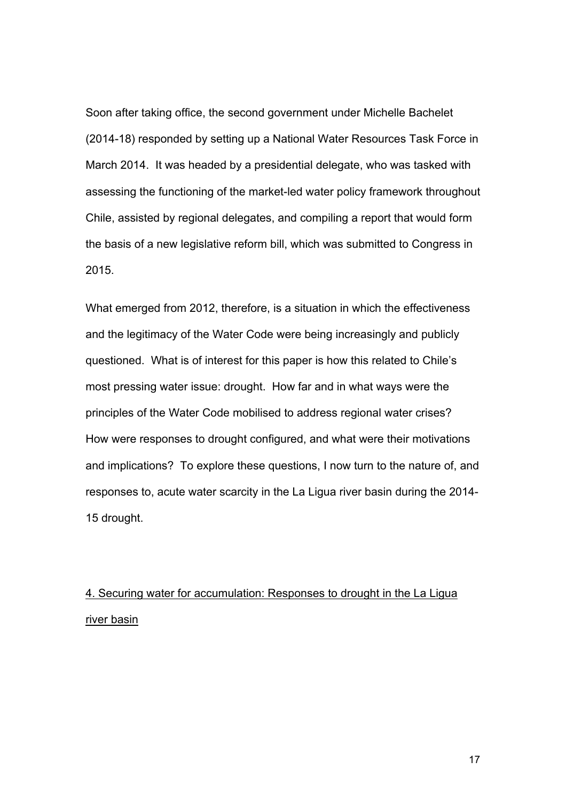Soon after taking office, the second government under Michelle Bachelet (2014-18) responded by setting up a National Water Resources Task Force in March 2014. It was headed by a presidential delegate, who was tasked with assessing the functioning of the market-led water policy framework throughout Chile, assisted by regional delegates, and compiling a report that would form the basis of a new legislative reform bill, which was submitted to Congress in 2015.

What emerged from 2012, therefore, is a situation in which the effectiveness and the legitimacy of the Water Code were being increasingly and publicly questioned. What is of interest for this paper is how this related to Chile's most pressing water issue: drought. How far and in what ways were the principles of the Water Code mobilised to address regional water crises? How were responses to drought configured, and what were their motivations and implications? To explore these questions, I now turn to the nature of, and responses to, acute water scarcity in the La Ligua river basin during the 2014- 15 drought.

# 4. Securing water for accumulation: Responses to drought in the La Ligua river basin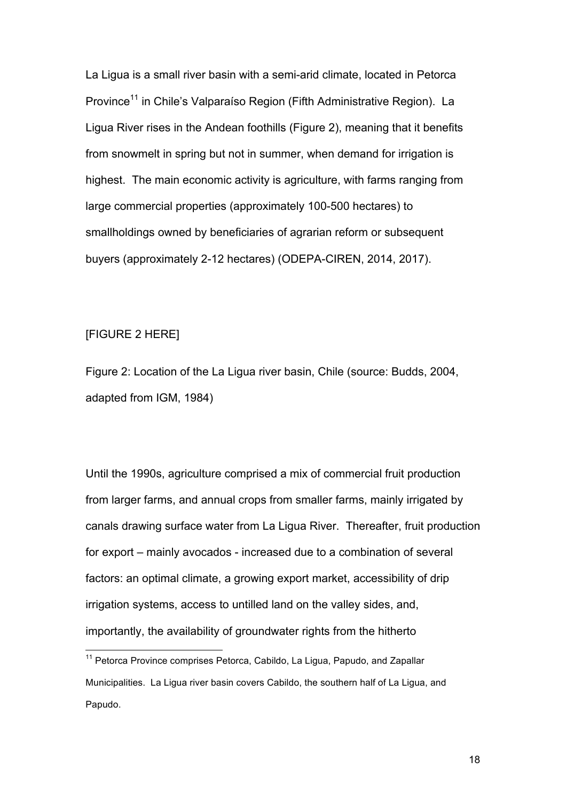La Ligua is a small river basin with a semi-arid climate, located in Petorca Province<sup>11</sup> in Chile's Valparaíso Region (Fifth Administrative Region). La Ligua River rises in the Andean foothills (Figure 2), meaning that it benefits from snowmelt in spring but not in summer, when demand for irrigation is highest. The main economic activity is agriculture, with farms ranging from large commercial properties (approximately 100-500 hectares) to smallholdings owned by beneficiaries of agrarian reform or subsequent buyers (approximately 2-12 hectares) (ODEPA-CIREN, 2014, 2017).

### [FIGURE 2 HERE]

Figure 2: Location of the La Ligua river basin, Chile (source: Budds, 2004, adapted from IGM, 1984)

Until the 1990s, agriculture comprised a mix of commercial fruit production from larger farms, and annual crops from smaller farms, mainly irrigated by canals drawing surface water from La Ligua River. Thereafter, fruit production for export – mainly avocados - increased due to a combination of several factors: an optimal climate, a growing export market, accessibility of drip irrigation systems, access to untilled land on the valley sides, and, importantly, the availability of groundwater rights from the hitherto

<sup>&</sup>lt;sup>11</sup> Petorca Province comprises Petorca, Cabildo, La Ligua, Papudo, and Zapallar Municipalities. La Ligua river basin covers Cabildo, the southern half of La Ligua, and Papudo.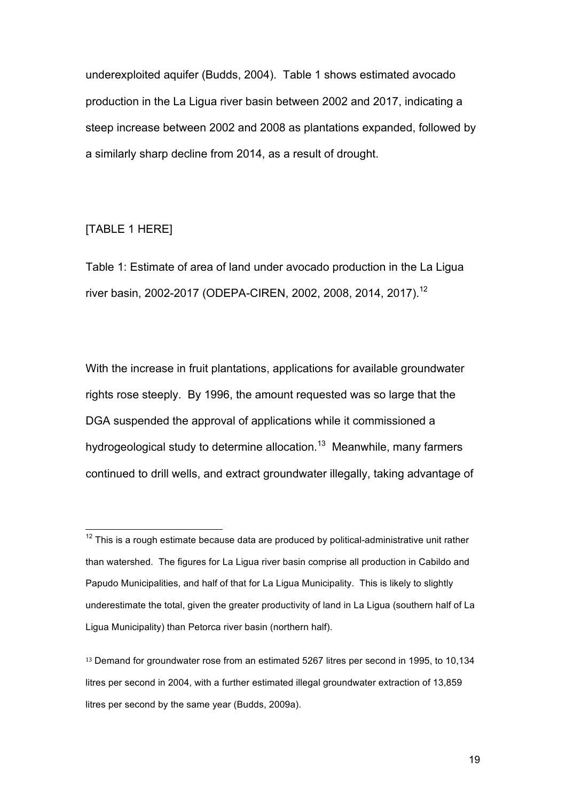underexploited aquifer (Budds, 2004). Table 1 shows estimated avocado production in the La Ligua river basin between 2002 and 2017, indicating a steep increase between 2002 and 2008 as plantations expanded, followed by a similarly sharp decline from 2014, as a result of drought.

# [TABLE 1 HERE]

Table 1: Estimate of area of land under avocado production in the La Ligua river basin, 2002-2017 (ODEPA-CIREN, 2002, 2008, 2014, 2017). 12

With the increase in fruit plantations, applications for available groundwater rights rose steeply. By 1996, the amount requested was so large that the DGA suspended the approval of applications while it commissioned a hydrogeological study to determine allocation.<sup>13</sup> Meanwhile, many farmers continued to drill wells, and extract groundwater illegally, taking advantage of

 $12$  This is a rough estimate because data are produced by political-administrative unit rather than watershed. The figures for La Ligua river basin comprise all production in Cabildo and Papudo Municipalities, and half of that for La Ligua Municipality. This is likely to slightly underestimate the total, given the greater productivity of land in La Ligua (southern half of La Ligua Municipality) than Petorca river basin (northern half).

<sup>13</sup> Demand for groundwater rose from an estimated 5267 litres per second in 1995, to 10,134 litres per second in 2004, with a further estimated illegal groundwater extraction of 13,859 litres per second by the same year (Budds, 2009a).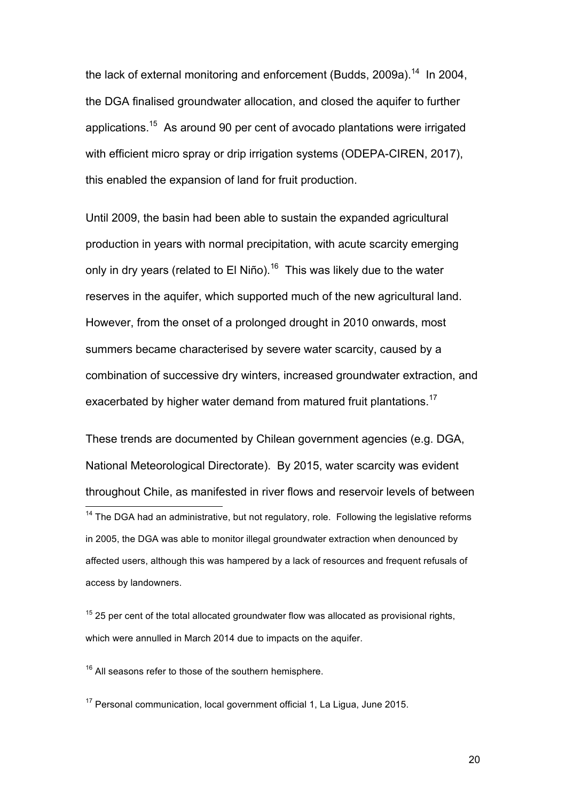the lack of external monitoring and enforcement (Budds, 2009a).<sup>14</sup> In 2004, the DGA finalised groundwater allocation, and closed the aquifer to further applications.<sup>15</sup> As around 90 per cent of avocado plantations were irrigated with efficient micro spray or drip irrigation systems (ODEPA-CIREN, 2017), this enabled the expansion of land for fruit production.

Until 2009, the basin had been able to sustain the expanded agricultural production in years with normal precipitation, with acute scarcity emerging only in dry years (related to El Niño).<sup>16</sup> This was likely due to the water reserves in the aquifer, which supported much of the new agricultural land. However, from the onset of a prolonged drought in 2010 onwards, most summers became characterised by severe water scarcity, caused by a combination of successive dry winters, increased groundwater extraction, and exacerbated by higher water demand from matured fruit plantations.<sup>17</sup>

These trends are documented by Chilean government agencies (e.g. DGA, National Meteorological Directorate). By 2015, water scarcity was evident throughout Chile, as manifested in river flows and reservoir levels of between

 $15$  25 per cent of the total allocated groundwater flow was allocated as provisional rights, which were annulled in March 2014 due to impacts on the aquifer.

 $16$  All seasons refer to those of the southern hemisphere.

<sup>17</sup> Personal communication, local government official 1, La Ligua, June 2015.

 $14$  The DGA had an administrative, but not regulatory, role. Following the legislative reforms in 2005, the DGA was able to monitor illegal groundwater extraction when denounced by affected users, although this was hampered by a lack of resources and frequent refusals of access by landowners.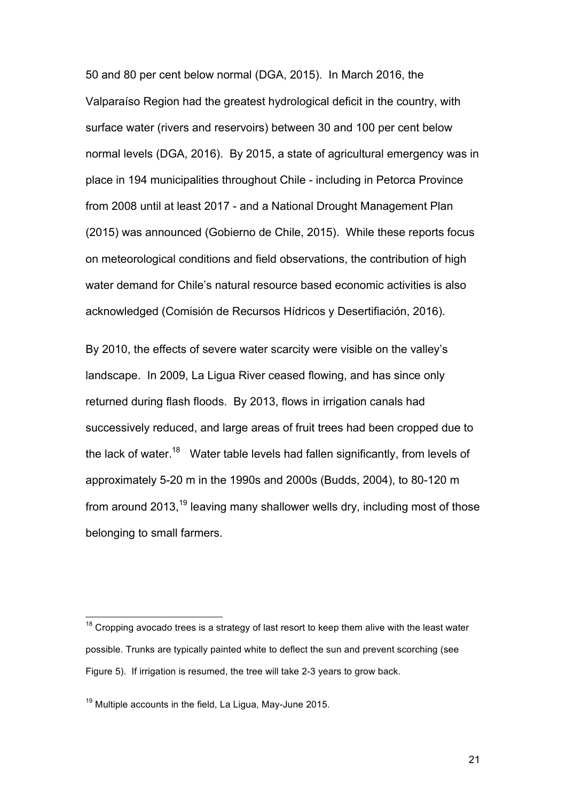50 and 80 per cent below normal (DGA, 2015). In March 2016, the Valparaíso Region had the greatest hydrological deficit in the country, with surface water (rivers and reservoirs) between 30 and 100 per cent below normal levels (DGA, 2016). By 2015, a state of agricultural emergency was in place in 194 municipalities throughout Chile - including in Petorca Province from 2008 until at least 2017 - and a National Drought Management Plan (2015) was announced (Gobierno de Chile, 2015). While these reports focus on meteorological conditions and field observations, the contribution of high water demand for Chile's natural resource based economic activities is also acknowledged (Comisión de Recursos Hídricos y Desertifiación, 2016).

By 2010, the effects of severe water scarcity were visible on the valley's landscape. In 2009, La Ligua River ceased flowing, and has since only returned during flash floods. By 2013, flows in irrigation canals had successively reduced, and large areas of fruit trees had been cropped due to the lack of water.<sup>18</sup> Water table levels had fallen significantly, from levels of approximately 5-20 m in the 1990s and 2000s (Budds, 2004), to 80-120 m from around 2013,<sup>19</sup> leaving many shallower wells dry, including most of those belonging to small farmers.

 $18$  Cropping avocado trees is a strategy of last resort to keep them alive with the least water possible. Trunks are typically painted white to deflect the sun and prevent scorching (see Figure 5). If irrigation is resumed, the tree will take 2-3 years to grow back.

<sup>&</sup>lt;sup>19</sup> Multiple accounts in the field, La Ligua, May-June 2015.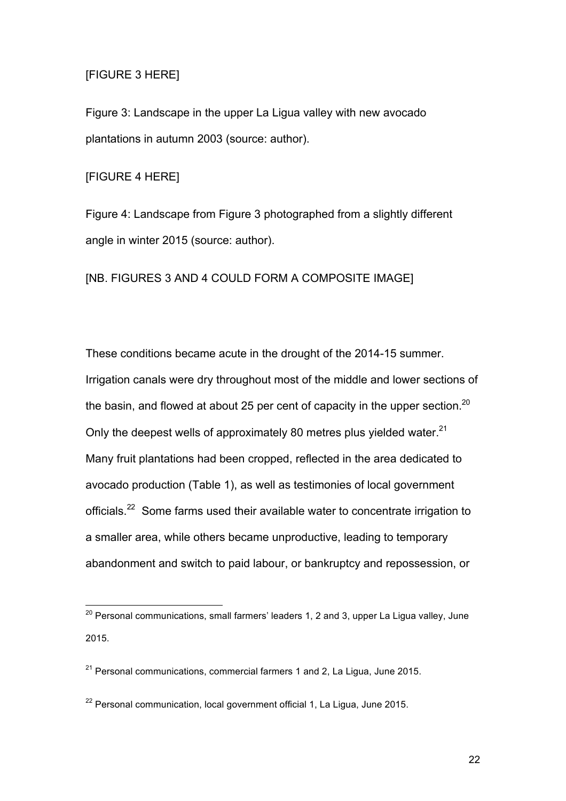# [FIGURE 3 HERE]

Figure 3: Landscape in the upper La Ligua valley with new avocado plantations in autumn 2003 (source: author).

[FIGURE 4 HERE]

Figure 4: Landscape from Figure 3 photographed from a slightly different angle in winter 2015 (source: author).

[NB. FIGURES 3 AND 4 COULD FORM A COMPOSITE IMAGE]

These conditions became acute in the drought of the 2014-15 summer. Irrigation canals were dry throughout most of the middle and lower sections of the basin, and flowed at about 25 per cent of capacity in the upper section.<sup>20</sup> Only the deepest wells of approximately 80 metres plus yielded water.<sup>21</sup> Many fruit plantations had been cropped, reflected in the area dedicated to avocado production (Table 1), as well as testimonies of local government officials.<sup>22</sup> Some farms used their available water to concentrate irrigation to a smaller area, while others became unproductive, leading to temporary abandonment and switch to paid labour, or bankruptcy and repossession, or

 $20$  Personal communications, small farmers' leaders 1, 2 and 3, upper La Ligua valley, June 2015.

 $21$  Personal communications, commercial farmers 1 and 2, La Ligua, June 2015.

 $22$  Personal communication, local government official 1, La Ligua, June 2015.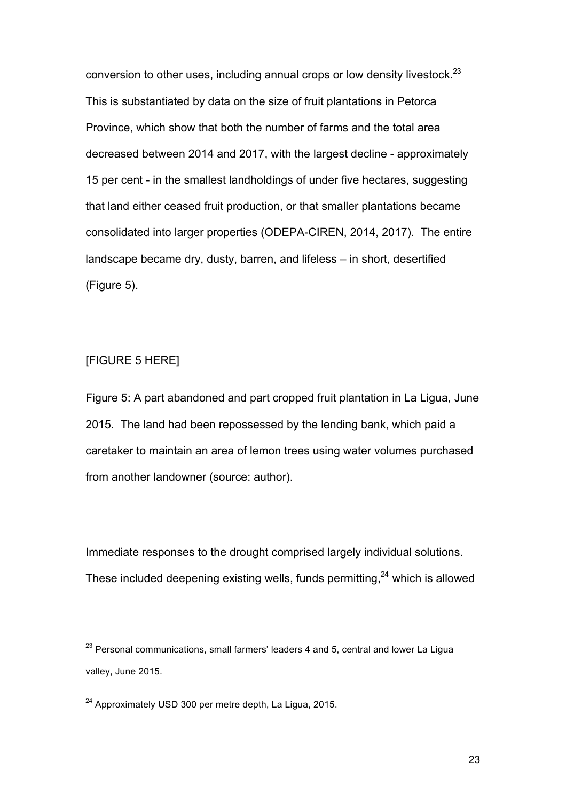conversion to other uses, including annual crops or low density livestock. $^{23}$ This is substantiated by data on the size of fruit plantations in Petorca Province, which show that both the number of farms and the total area decreased between 2014 and 2017, with the largest decline - approximately 15 per cent - in the smallest landholdings of under five hectares, suggesting that land either ceased fruit production, or that smaller plantations became consolidated into larger properties (ODEPA-CIREN, 2014, 2017). The entire landscape became dry, dusty, barren, and lifeless – in short, desertified (Figure 5).

# [FIGURE 5 HERE]

Figure 5: A part abandoned and part cropped fruit plantation in La Ligua, June 2015. The land had been repossessed by the lending bank, which paid a caretaker to maintain an area of lemon trees using water volumes purchased from another landowner (source: author).

Immediate responses to the drought comprised largely individual solutions. These included deepening existing wells, funds permitting, $^{24}$  which is allowed

<sup>&</sup>lt;sup>23</sup> Personal communications, small farmers' leaders 4 and 5, central and lower La Ligua valley, June 2015.

<sup>24</sup> Approximately USD 300 per metre depth, La Ligua, 2015.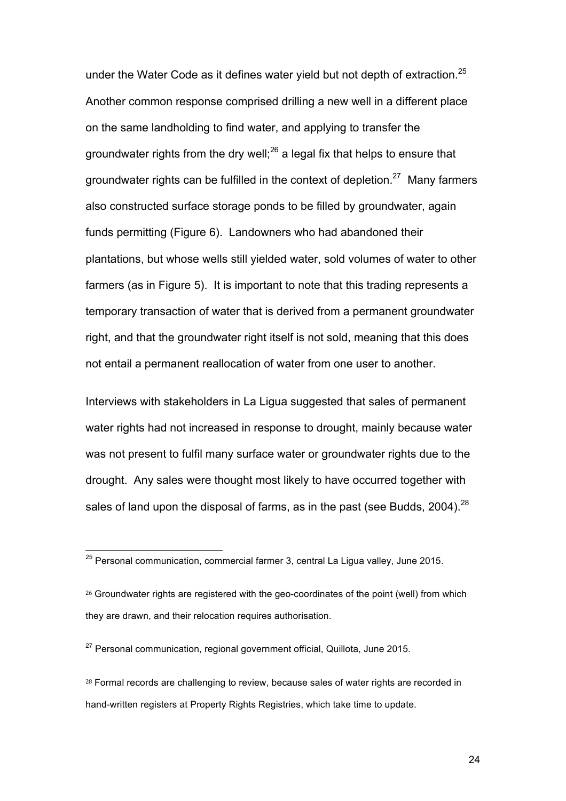under the Water Code as it defines water yield but not depth of extraction. $25$ Another common response comprised drilling a new well in a different place on the same landholding to find water, and applying to transfer the groundwater rights from the dry well;<sup>26</sup> a legal fix that helps to ensure that groundwater rights can be fulfilled in the context of depletion.<sup>27</sup> Many farmers also constructed surface storage ponds to be filled by groundwater, again funds permitting (Figure 6). Landowners who had abandoned their plantations, but whose wells still yielded water, sold volumes of water to other farmers (as in Figure 5). It is important to note that this trading represents a temporary transaction of water that is derived from a permanent groundwater right, and that the groundwater right itself is not sold, meaning that this does not entail a permanent reallocation of water from one user to another.

Interviews with stakeholders in La Ligua suggested that sales of permanent water rights had not increased in response to drought, mainly because water was not present to fulfil many surface water or groundwater rights due to the drought. Any sales were thought most likely to have occurred together with sales of land upon the disposal of farms, as in the past (see Budds, 2004).<sup>28</sup>

 $25$  Personal communication, commercial farmer 3, central La Ligua valley, June 2015.

<sup>&</sup>lt;sup>26</sup> Groundwater rights are registered with the geo-coordinates of the point (well) from which they are drawn, and their relocation requires authorisation.

 $27$  Personal communication, regional government official, Quillota, June 2015.

<sup>&</sup>lt;sup>28</sup> Formal records are challenging to review, because sales of water rights are recorded in hand-written registers at Property Rights Registries, which take time to update.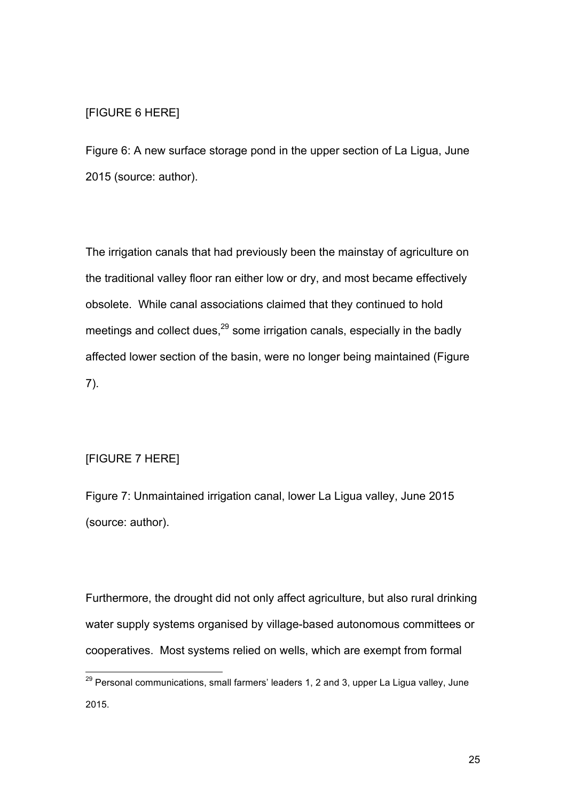## [FIGURE 6 HERE]

Figure 6: A new surface storage pond in the upper section of La Ligua, June 2015 (source: author).

The irrigation canals that had previously been the mainstay of agriculture on the traditional valley floor ran either low or dry, and most became effectively obsolete. While canal associations claimed that they continued to hold meetings and collect dues,<sup>29</sup> some irrigation canals, especially in the badly affected lower section of the basin, were no longer being maintained (Figure 7).

# [FIGURE 7 HERE]

Figure 7: Unmaintained irrigation canal, lower La Ligua valley, June 2015 (source: author).

Furthermore, the drought did not only affect agriculture, but also rural drinking water supply systems organised by village-based autonomous committees or cooperatives. Most systems relied on wells, which are exempt from formal

 $29$  Personal communications, small farmers' leaders 1, 2 and 3, upper La Ligua valley, June 2015.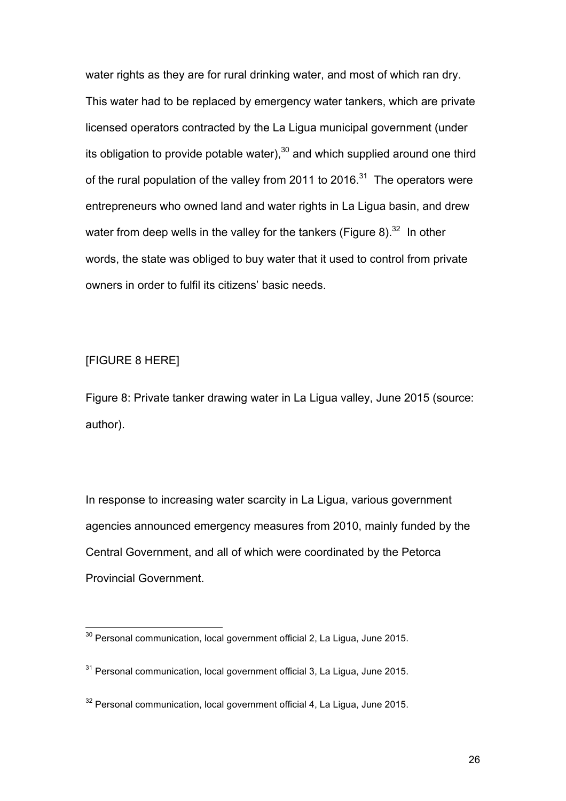water rights as they are for rural drinking water, and most of which ran dry. This water had to be replaced by emergency water tankers, which are private licensed operators contracted by the La Ligua municipal government (under its obligation to provide potable water), $30$  and which supplied around one third of the rural population of the valley from 2011 to 2016.<sup>31</sup> The operators were entrepreneurs who owned land and water rights in La Ligua basin, and drew water from deep wells in the valley for the tankers (Figure 8).<sup>32</sup> In other words, the state was obliged to buy water that it used to control from private owners in order to fulfil its citizens' basic needs.

## [FIGURE 8 HERE]

Figure 8: Private tanker drawing water in La Ligua valley, June 2015 (source: author).

In response to increasing water scarcity in La Ligua, various government agencies announced emergency measures from 2010, mainly funded by the Central Government, and all of which were coordinated by the Petorca Provincial Government.

<sup>&</sup>lt;sup>30</sup> Personal communication, local government official 2, La Ligua, June 2015.

 $31$  Personal communication, local government official 3, La Ligua, June 2015.

 $32$  Personal communication, local government official 4, La Ligua, June 2015.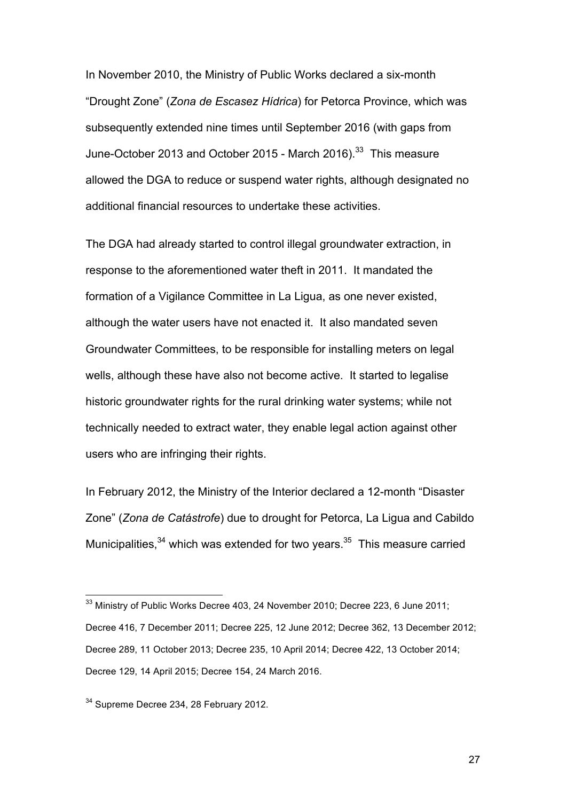In November 2010, the Ministry of Public Works declared a six-month "Drought Zone" (*Zona de Escasez Hídrica*) for Petorca Province, which was subsequently extended nine times until September 2016 (with gaps from June-October 2013 and October 2015 - March 2016).<sup>33</sup> This measure allowed the DGA to reduce or suspend water rights, although designated no additional financial resources to undertake these activities.

The DGA had already started to control illegal groundwater extraction, in response to the aforementioned water theft in 2011. It mandated the formation of a Vigilance Committee in La Ligua, as one never existed, although the water users have not enacted it. It also mandated seven Groundwater Committees, to be responsible for installing meters on legal wells, although these have also not become active. It started to legalise historic groundwater rights for the rural drinking water systems; while not technically needed to extract water, they enable legal action against other users who are infringing their rights.

In February 2012, the Ministry of the Interior declared a 12-month "Disaster Zone" (*Zona de Catástrofe*) due to drought for Petorca, La Ligua and Cabildo Municipalities,<sup>34</sup> which was extended for two years.<sup>35</sup> This measure carried

<sup>&</sup>lt;sup>33</sup> Ministry of Public Works Decree 403, 24 November 2010; Decree 223, 6 June 2011; Decree 416, 7 December 2011; Decree 225, 12 June 2012; Decree 362, 13 December 2012; Decree 289, 11 October 2013; Decree 235, 10 April 2014; Decree 422, 13 October 2014; Decree 129, 14 April 2015; Decree 154, 24 March 2016.

<sup>&</sup>lt;sup>34</sup> Supreme Decree 234, 28 February 2012.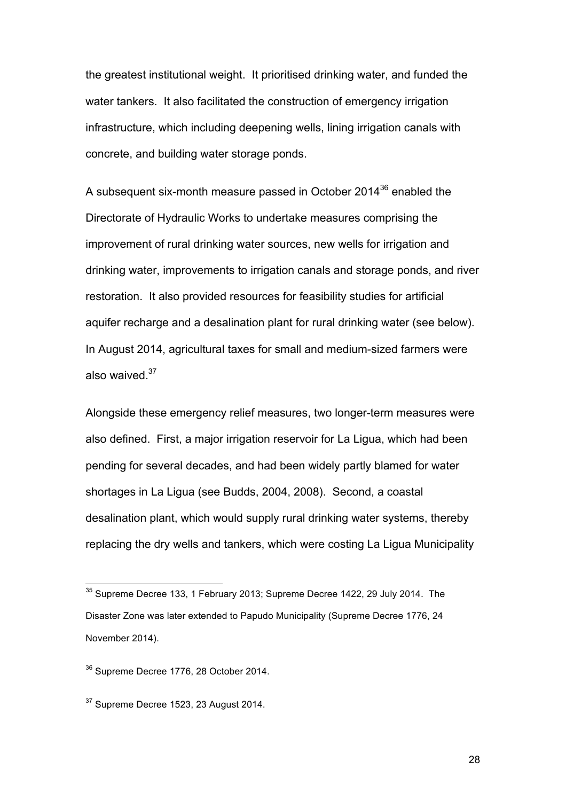the greatest institutional weight. It prioritised drinking water, and funded the water tankers. It also facilitated the construction of emergency irrigation infrastructure, which including deepening wells, lining irrigation canals with concrete, and building water storage ponds.

A subsequent six-month measure passed in October 2014<sup>36</sup> enabled the Directorate of Hydraulic Works to undertake measures comprising the improvement of rural drinking water sources, new wells for irrigation and drinking water, improvements to irrigation canals and storage ponds, and river restoration. It also provided resources for feasibility studies for artificial aquifer recharge and a desalination plant for rural drinking water (see below). In August 2014, agricultural taxes for small and medium-sized farmers were also waived.<sup>37</sup>

Alongside these emergency relief measures, two longer-term measures were also defined. First, a major irrigation reservoir for La Ligua, which had been pending for several decades, and had been widely partly blamed for water shortages in La Ligua (see Budds, 2004, 2008). Second, a coastal desalination plant, which would supply rural drinking water systems, thereby replacing the dry wells and tankers, which were costing La Ligua Municipality

 <sup>35</sup> Supreme Decree 133, 1 February 2013; Supreme Decree 1422, 29 July 2014. The Disaster Zone was later extended to Papudo Municipality (Supreme Decree 1776, 24 November 2014).

<sup>&</sup>lt;sup>36</sup> Supreme Decree 1776, 28 October 2014.

 $37$  Supreme Decree 1523, 23 August 2014.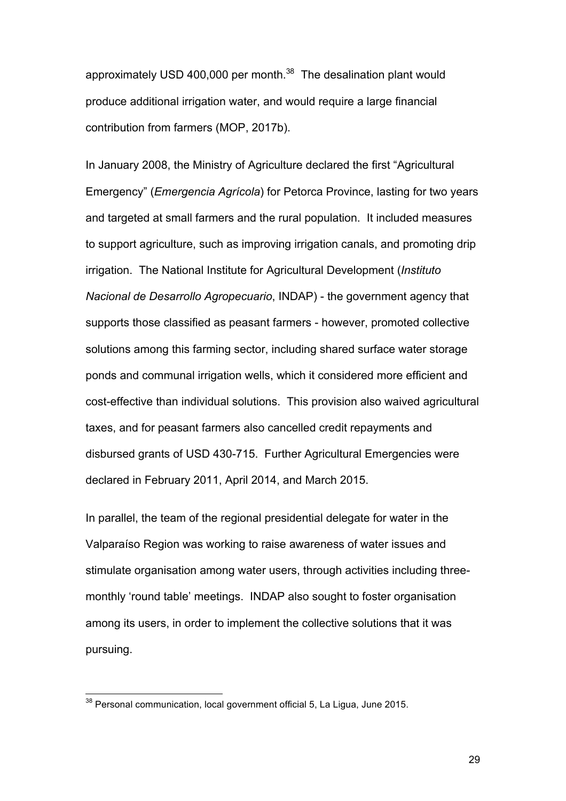approximately USD 400,000 per month.<sup>38</sup> The desalination plant would produce additional irrigation water, and would require a large financial contribution from farmers (MOP, 2017b).

In January 2008, the Ministry of Agriculture declared the first "Agricultural Emergency" (*Emergencia Agrícola*) for Petorca Province, lasting for two years and targeted at small farmers and the rural population. It included measures to support agriculture, such as improving irrigation canals, and promoting drip irrigation. The National Institute for Agricultural Development (*Instituto Nacional de Desarrollo Agropecuario*, INDAP) - the government agency that supports those classified as peasant farmers - however, promoted collective solutions among this farming sector, including shared surface water storage ponds and communal irrigation wells, which it considered more efficient and cost-effective than individual solutions. This provision also waived agricultural taxes, and for peasant farmers also cancelled credit repayments and disbursed grants of USD 430-715. Further Agricultural Emergencies were declared in February 2011, April 2014, and March 2015.

In parallel, the team of the regional presidential delegate for water in the Valparaíso Region was working to raise awareness of water issues and stimulate organisation among water users, through activities including threemonthly 'round table' meetings. INDAP also sought to foster organisation among its users, in order to implement the collective solutions that it was pursuing.

<sup>&</sup>lt;sup>38</sup> Personal communication, local government official 5, La Ligua, June 2015.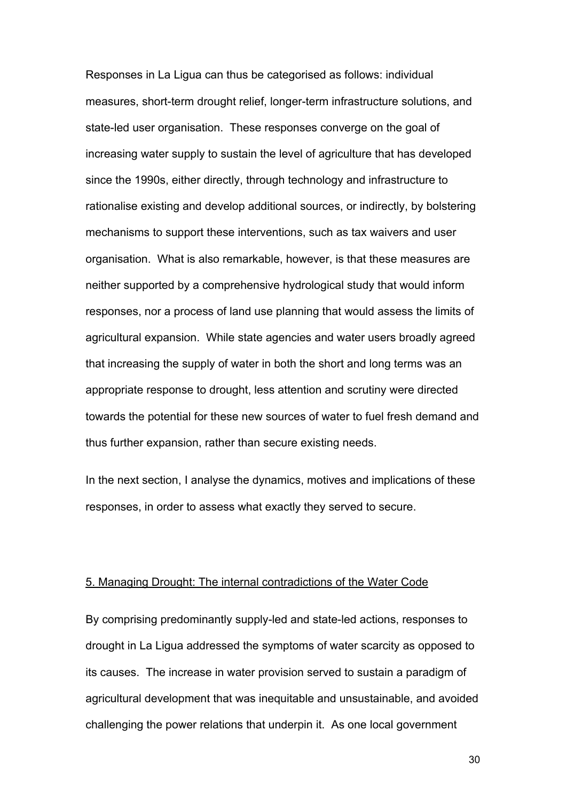Responses in La Ligua can thus be categorised as follows: individual measures, short-term drought relief, longer-term infrastructure solutions, and state-led user organisation. These responses converge on the goal of increasing water supply to sustain the level of agriculture that has developed since the 1990s, either directly, through technology and infrastructure to rationalise existing and develop additional sources, or indirectly, by bolstering mechanisms to support these interventions, such as tax waivers and user organisation. What is also remarkable, however, is that these measures are neither supported by a comprehensive hydrological study that would inform responses, nor a process of land use planning that would assess the limits of agricultural expansion. While state agencies and water users broadly agreed that increasing the supply of water in both the short and long terms was an appropriate response to drought, less attention and scrutiny were directed towards the potential for these new sources of water to fuel fresh demand and thus further expansion, rather than secure existing needs.

In the next section, I analyse the dynamics, motives and implications of these responses, in order to assess what exactly they served to secure.

#### 5. Managing Drought: The internal contradictions of the Water Code

By comprising predominantly supply-led and state-led actions, responses to drought in La Ligua addressed the symptoms of water scarcity as opposed to its causes. The increase in water provision served to sustain a paradigm of agricultural development that was inequitable and unsustainable, and avoided challenging the power relations that underpin it. As one local government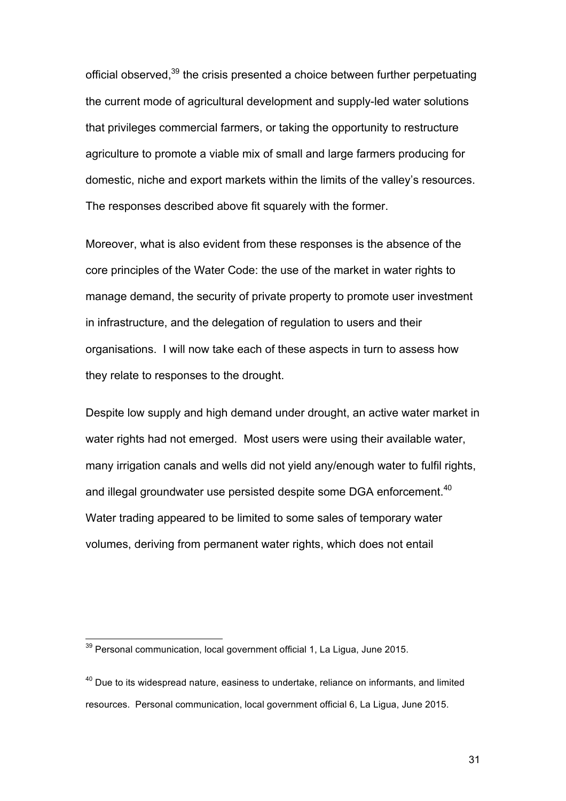official observed,<sup>39</sup> the crisis presented a choice between further perpetuating the current mode of agricultural development and supply-led water solutions that privileges commercial farmers, or taking the opportunity to restructure agriculture to promote a viable mix of small and large farmers producing for domestic, niche and export markets within the limits of the valley's resources. The responses described above fit squarely with the former.

Moreover, what is also evident from these responses is the absence of the core principles of the Water Code: the use of the market in water rights to manage demand, the security of private property to promote user investment in infrastructure, and the delegation of regulation to users and their organisations. I will now take each of these aspects in turn to assess how they relate to responses to the drought.

Despite low supply and high demand under drought, an active water market in water rights had not emerged. Most users were using their available water, many irrigation canals and wells did not yield any/enough water to fulfil rights, and illegal groundwater use persisted despite some DGA enforcement.<sup>40</sup> Water trading appeared to be limited to some sales of temporary water volumes, deriving from permanent water rights, which does not entail

 $39$  Personal communication, local government official 1, La Ligua, June 2015.

 $40$  Due to its widespread nature, easiness to undertake, reliance on informants, and limited resources. Personal communication, local government official 6, La Ligua, June 2015.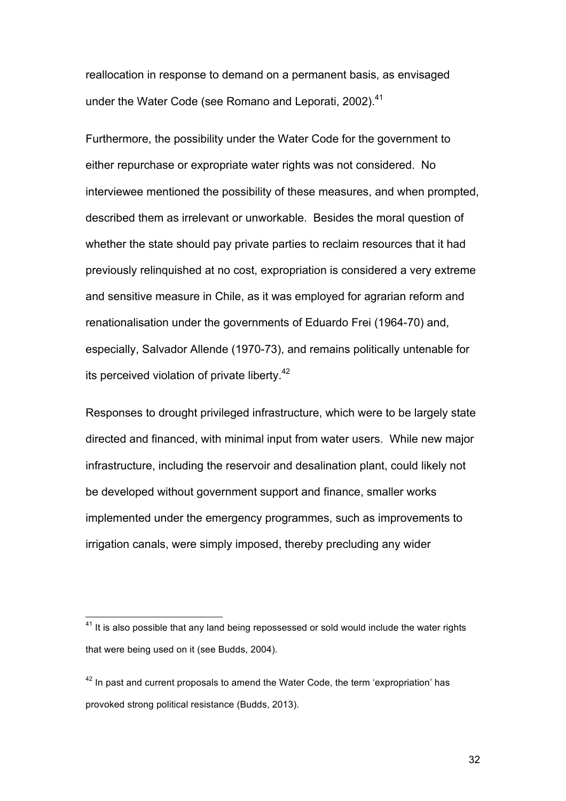reallocation in response to demand on a permanent basis, as envisaged under the Water Code (see Romano and Leporati, 2002).<sup>41</sup>

Furthermore, the possibility under the Water Code for the government to either repurchase or expropriate water rights was not considered. No interviewee mentioned the possibility of these measures, and when prompted, described them as irrelevant or unworkable. Besides the moral question of whether the state should pay private parties to reclaim resources that it had previously relinquished at no cost, expropriation is considered a very extreme and sensitive measure in Chile, as it was employed for agrarian reform and renationalisation under the governments of Eduardo Frei (1964-70) and, especially, Salvador Allende (1970-73), and remains politically untenable for its perceived violation of private liberty.<sup>42</sup>

Responses to drought privileged infrastructure, which were to be largely state directed and financed, with minimal input from water users. While new major infrastructure, including the reservoir and desalination plant, could likely not be developed without government support and finance, smaller works implemented under the emergency programmes, such as improvements to irrigation canals, were simply imposed, thereby precluding any wider

 $41$  It is also possible that any land being repossessed or sold would include the water rights that were being used on it (see Budds, 2004).

 $42$  In past and current proposals to amend the Water Code, the term 'expropriation' has provoked strong political resistance (Budds, 2013).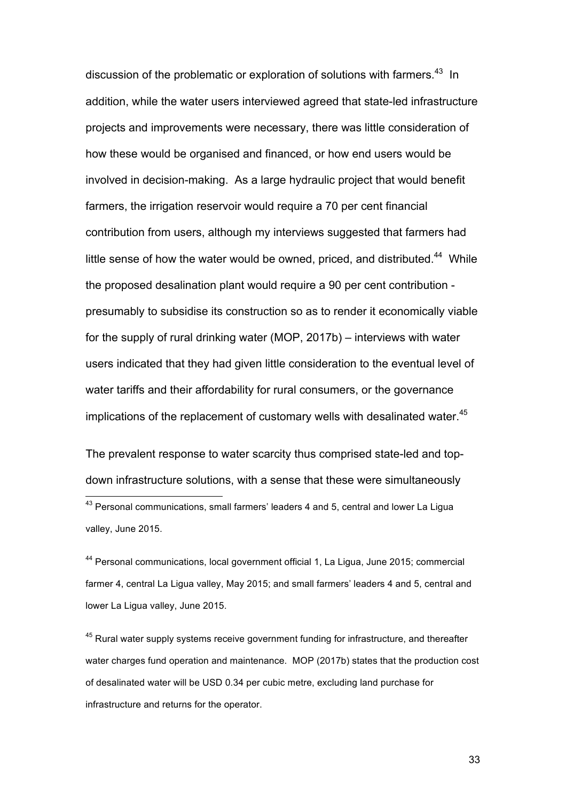discussion of the problematic or exploration of solutions with farmers.<sup>43</sup> In addition, while the water users interviewed agreed that state-led infrastructure projects and improvements were necessary, there was little consideration of how these would be organised and financed, or how end users would be involved in decision-making. As a large hydraulic project that would benefit farmers, the irrigation reservoir would require a 70 per cent financial contribution from users, although my interviews suggested that farmers had little sense of how the water would be owned, priced, and distributed.<sup>44</sup> While the proposed desalination plant would require a 90 per cent contribution presumably to subsidise its construction so as to render it economically viable for the supply of rural drinking water (MOP, 2017b) – interviews with water users indicated that they had given little consideration to the eventual level of water tariffs and their affordability for rural consumers, or the governance implications of the replacement of customary wells with desalinated water. 45

The prevalent response to water scarcity thus comprised state-led and topdown infrastructure solutions, with a sense that these were simultaneously 43 Personal communications, small farmers' leaders 4 and 5, central and lower La Ligua valley, June 2015.

<sup>44</sup> Personal communications, local government official 1, La Ligua, June 2015; commercial farmer 4, central La Ligua valley, May 2015; and small farmers' leaders 4 and 5, central and lower La Ligua valley, June 2015.

 $45$  Rural water supply systems receive government funding for infrastructure, and thereafter water charges fund operation and maintenance. MOP (2017b) states that the production cost of desalinated water will be USD 0.34 per cubic metre, excluding land purchase for infrastructure and returns for the operator.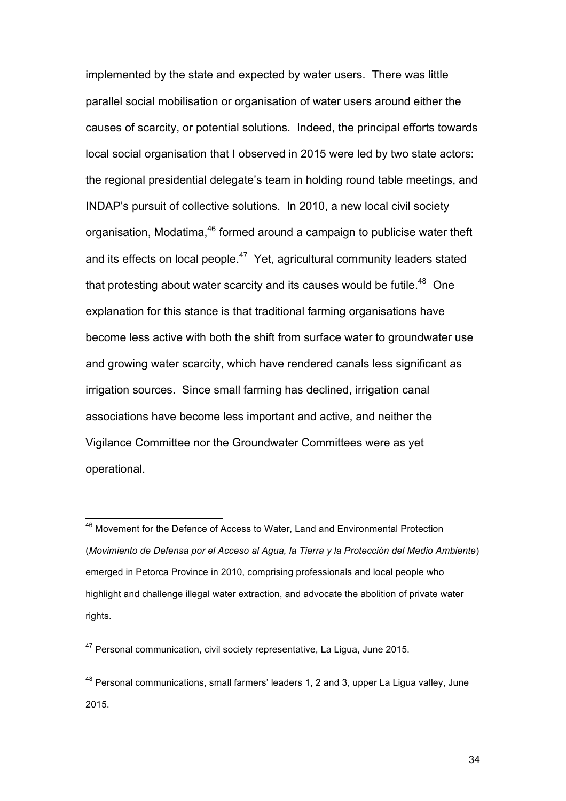implemented by the state and expected by water users. There was little parallel social mobilisation or organisation of water users around either the causes of scarcity, or potential solutions. Indeed, the principal efforts towards local social organisation that I observed in 2015 were led by two state actors: the regional presidential delegate's team in holding round table meetings, and INDAP's pursuit of collective solutions. In 2010, a new local civil society organisation, Modatima,<sup>46</sup> formed around a campaign to publicise water theft and its effects on local people.<sup>47</sup> Yet, agricultural community leaders stated that protesting about water scarcity and its causes would be futile. $48$  One explanation for this stance is that traditional farming organisations have become less active with both the shift from surface water to groundwater use and growing water scarcity, which have rendered canals less significant as irrigation sources. Since small farming has declined, irrigation canal associations have become less important and active, and neither the Vigilance Committee nor the Groundwater Committees were as yet operational.

<sup>&</sup>lt;sup>46</sup> Movement for the Defence of Access to Water, Land and Environmental Protection (*Movimiento de Defensa por el Acceso al Agua, la Tierra y la Protección del Medio Ambiente*) emerged in Petorca Province in 2010, comprising professionals and local people who highlight and challenge illegal water extraction, and advocate the abolition of private water rights.

<sup>&</sup>lt;sup>47</sup> Personal communication, civil society representative, La Ligua, June 2015.

 $48$  Personal communications, small farmers' leaders 1, 2 and 3, upper La Ligua valley, June 2015.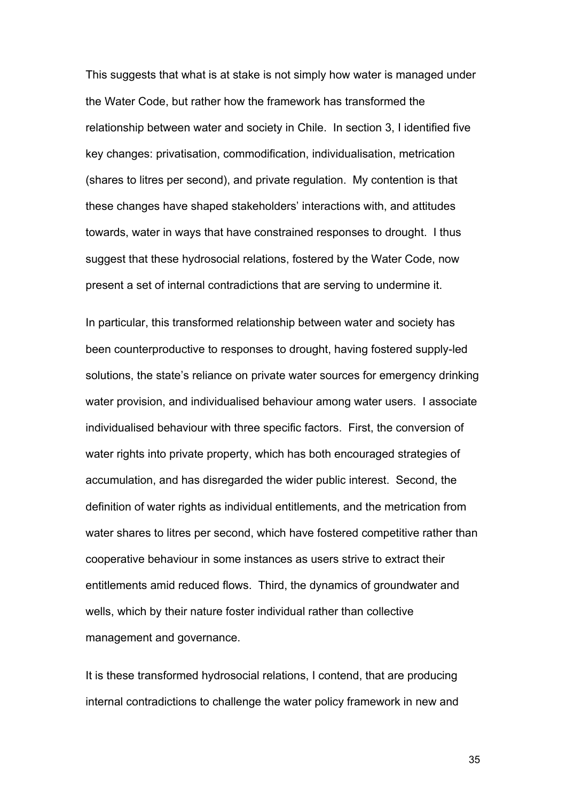This suggests that what is at stake is not simply how water is managed under the Water Code, but rather how the framework has transformed the relationship between water and society in Chile. In section 3, I identified five key changes: privatisation, commodification, individualisation, metrication (shares to litres per second), and private regulation. My contention is that these changes have shaped stakeholders' interactions with, and attitudes towards, water in ways that have constrained responses to drought. I thus suggest that these hydrosocial relations, fostered by the Water Code, now present a set of internal contradictions that are serving to undermine it.

In particular, this transformed relationship between water and society has been counterproductive to responses to drought, having fostered supply-led solutions, the state's reliance on private water sources for emergency drinking water provision, and individualised behaviour among water users. I associate individualised behaviour with three specific factors. First, the conversion of water rights into private property, which has both encouraged strategies of accumulation, and has disregarded the wider public interest. Second, the definition of water rights as individual entitlements, and the metrication from water shares to litres per second, which have fostered competitive rather than cooperative behaviour in some instances as users strive to extract their entitlements amid reduced flows. Third, the dynamics of groundwater and wells, which by their nature foster individual rather than collective management and governance.

It is these transformed hydrosocial relations, I contend, that are producing internal contradictions to challenge the water policy framework in new and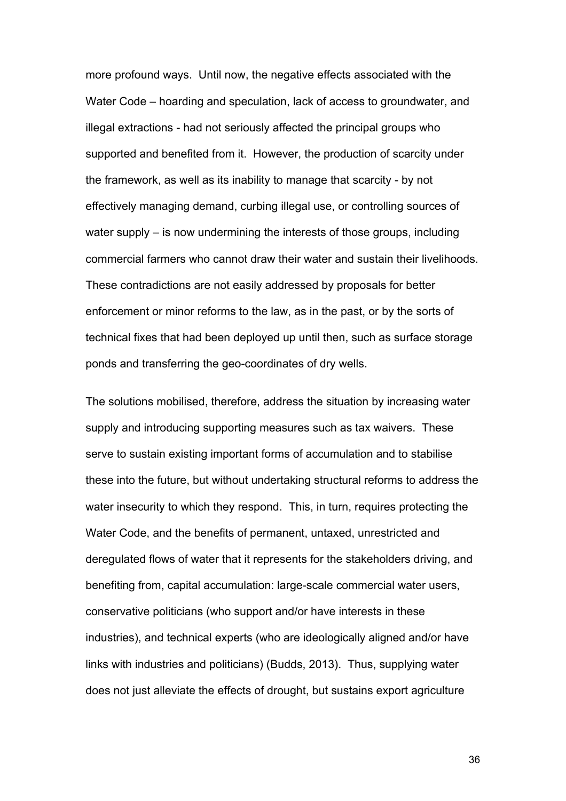more profound ways. Until now, the negative effects associated with the Water Code – hoarding and speculation, lack of access to groundwater, and illegal extractions - had not seriously affected the principal groups who supported and benefited from it. However, the production of scarcity under the framework, as well as its inability to manage that scarcity - by not effectively managing demand, curbing illegal use, or controlling sources of water supply – is now undermining the interests of those groups, including commercial farmers who cannot draw their water and sustain their livelihoods. These contradictions are not easily addressed by proposals for better enforcement or minor reforms to the law, as in the past, or by the sorts of technical fixes that had been deployed up until then, such as surface storage ponds and transferring the geo-coordinates of dry wells.

The solutions mobilised, therefore, address the situation by increasing water supply and introducing supporting measures such as tax waivers. These serve to sustain existing important forms of accumulation and to stabilise these into the future, but without undertaking structural reforms to address the water insecurity to which they respond. This, in turn, requires protecting the Water Code, and the benefits of permanent, untaxed, unrestricted and deregulated flows of water that it represents for the stakeholders driving, and benefiting from, capital accumulation: large-scale commercial water users, conservative politicians (who support and/or have interests in these industries), and technical experts (who are ideologically aligned and/or have links with industries and politicians) (Budds, 2013). Thus, supplying water does not just alleviate the effects of drought, but sustains export agriculture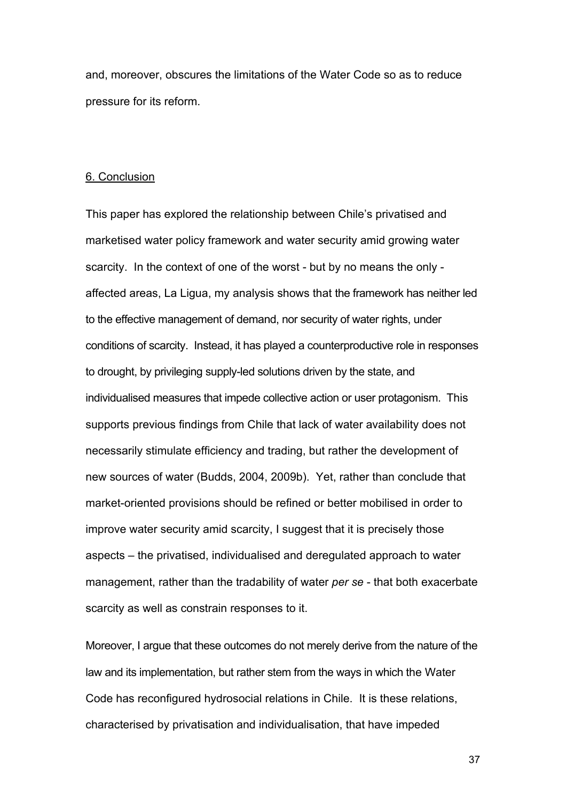and, moreover, obscures the limitations of the Water Code so as to reduce pressure for its reform.

#### 6. Conclusion

This paper has explored the relationship between Chile's privatised and marketised water policy framework and water security amid growing water scarcity. In the context of one of the worst - but by no means the only affected areas, La Ligua, my analysis shows that the framework has neither led to the effective management of demand, nor security of water rights, under conditions of scarcity. Instead, it has played a counterproductive role in responses to drought, by privileging supply-led solutions driven by the state, and individualised measures that impede collective action or user protagonism. This supports previous findings from Chile that lack of water availability does not necessarily stimulate efficiency and trading, but rather the development of new sources of water (Budds, 2004, 2009b). Yet, rather than conclude that market-oriented provisions should be refined or better mobilised in order to improve water security amid scarcity, I suggest that it is precisely those aspects – the privatised, individualised and deregulated approach to water management, rather than the tradability of water *per se* - that both exacerbate scarcity as well as constrain responses to it.

Moreover, I argue that these outcomes do not merely derive from the nature of the law and its implementation, but rather stem from the ways in which the Water Code has reconfigured hydrosocial relations in Chile. It is these relations, characterised by privatisation and individualisation, that have impeded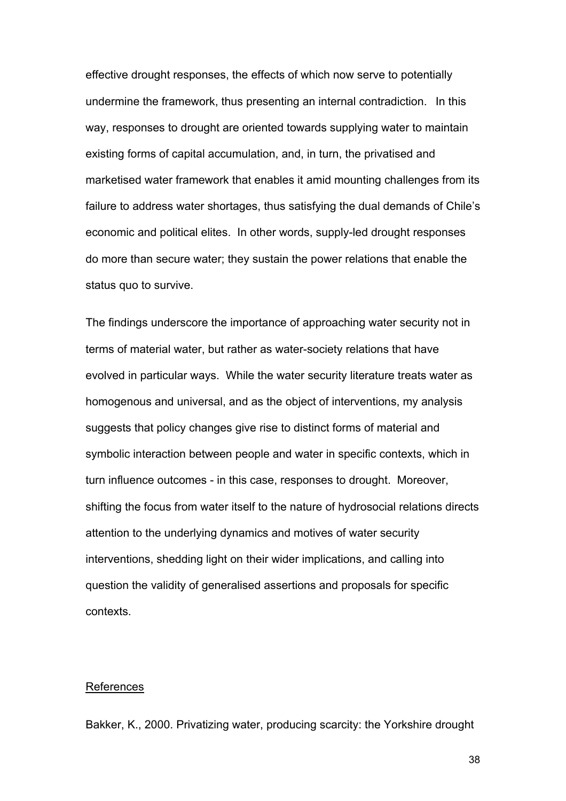effective drought responses, the effects of which now serve to potentially undermine the framework, thus presenting an internal contradiction. In this way, responses to drought are oriented towards supplying water to maintain existing forms of capital accumulation, and, in turn, the privatised and marketised water framework that enables it amid mounting challenges from its failure to address water shortages, thus satisfying the dual demands of Chile's economic and political elites. In other words, supply-led drought responses do more than secure water; they sustain the power relations that enable the status quo to survive.

The findings underscore the importance of approaching water security not in terms of material water, but rather as water-society relations that have evolved in particular ways. While the water security literature treats water as homogenous and universal, and as the object of interventions, my analysis suggests that policy changes give rise to distinct forms of material and symbolic interaction between people and water in specific contexts, which in turn influence outcomes - in this case, responses to drought. Moreover, shifting the focus from water itself to the nature of hydrosocial relations directs attention to the underlying dynamics and motives of water security interventions, shedding light on their wider implications, and calling into question the validity of generalised assertions and proposals for specific contexts.

#### References

Bakker, K., 2000. Privatizing water, producing scarcity: the Yorkshire drought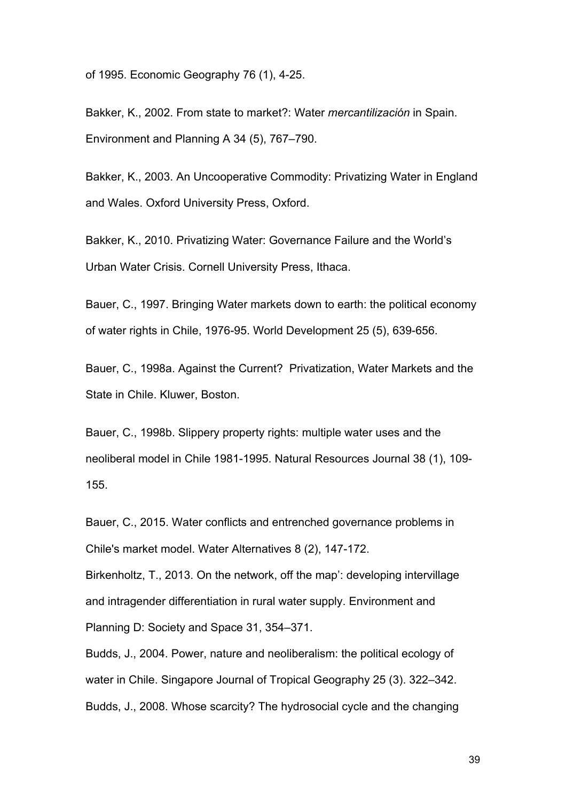of 1995. Economic Geography 76 (1), 4-25.

Bakker, K., 2002. From state to market?: Water *mercantilización* in Spain. Environment and Planning A 34 (5), 767–790.

Bakker, K., 2003. An Uncooperative Commodity: Privatizing Water in England and Wales. Oxford University Press, Oxford.

Bakker, K., 2010. Privatizing Water: Governance Failure and the World's Urban Water Crisis. Cornell University Press, Ithaca.

Bauer, C., 1997. Bringing Water markets down to earth: the political economy of water rights in Chile, 1976-95. World Development 25 (5), 639-656.

Bauer, C., 1998a. Against the Current? Privatization, Water Markets and the State in Chile. Kluwer, Boston.

Bauer, C., 1998b. Slippery property rights: multiple water uses and the neoliberal model in Chile 1981-1995. Natural Resources Journal 38 (1), 109- 155.

Bauer, C., 2015. Water conflicts and entrenched governance problems in Chile's market model. Water Alternatives 8 (2), 147-172.

Birkenholtz, T., 2013. On the network, off the map': developing intervillage and intragender differentiation in rural water supply. Environment and Planning D: Society and Space 31, 354–371.

Budds, J., 2004. Power, nature and neoliberalism: the political ecology of water in Chile. Singapore Journal of Tropical Geography 25 (3). 322–342. Budds, J., 2008. Whose scarcity? The hydrosocial cycle and the changing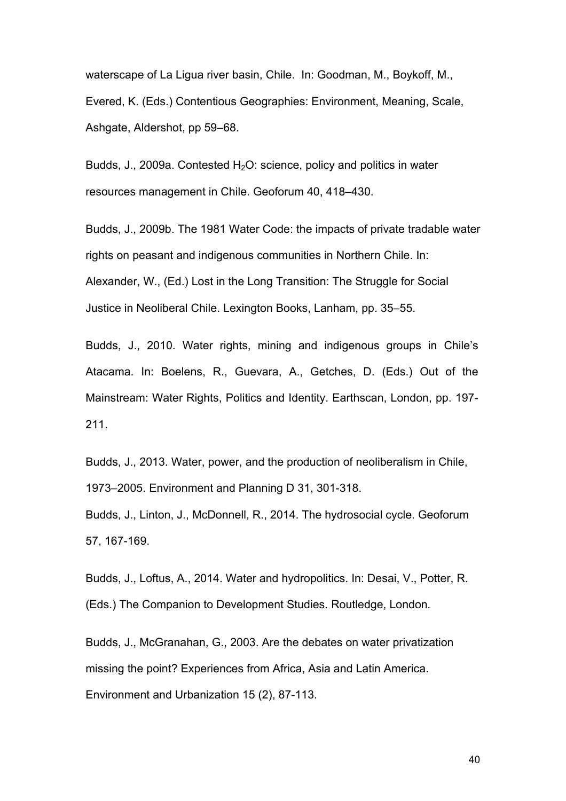waterscape of La Ligua river basin, Chile. In: Goodman, M., Boykoff, M., Evered, K. (Eds.) Contentious Geographies: Environment, Meaning, Scale, Ashgate, Aldershot, pp 59–68.

Budds, J., 2009a. Contested  $H_2O$ : science, policy and politics in water resources management in Chile. Geoforum 40, 418–430.

Budds, J., 2009b. The 1981 Water Code: the impacts of private tradable water rights on peasant and indigenous communities in Northern Chile. In: Alexander, W., (Ed.) Lost in the Long Transition: The Struggle for Social Justice in Neoliberal Chile. Lexington Books, Lanham, pp. 35–55.

Budds, J., 2010. Water rights, mining and indigenous groups in Chile's Atacama. In: Boelens, R., Guevara, A., Getches, D. (Eds.) Out of the Mainstream: Water Rights, Politics and Identity. Earthscan, London, pp. 197- 211.

Budds, J., 2013. Water, power, and the production of neoliberalism in Chile, 1973–2005. Environment and Planning D 31, 301-318.

Budds, J., Linton, J., McDonnell, R., 2014. The hydrosocial cycle. Geoforum 57, 167-169.

Budds, J., Loftus, A., 2014. Water and hydropolitics. In: Desai, V., Potter, R. (Eds.) The Companion to Development Studies. Routledge, London*.* 

Budds, J., McGranahan, G., 2003. Are the debates on water privatization missing the point? Experiences from Africa, Asia and Latin America. Environment and Urbanization 15 (2), 87-113.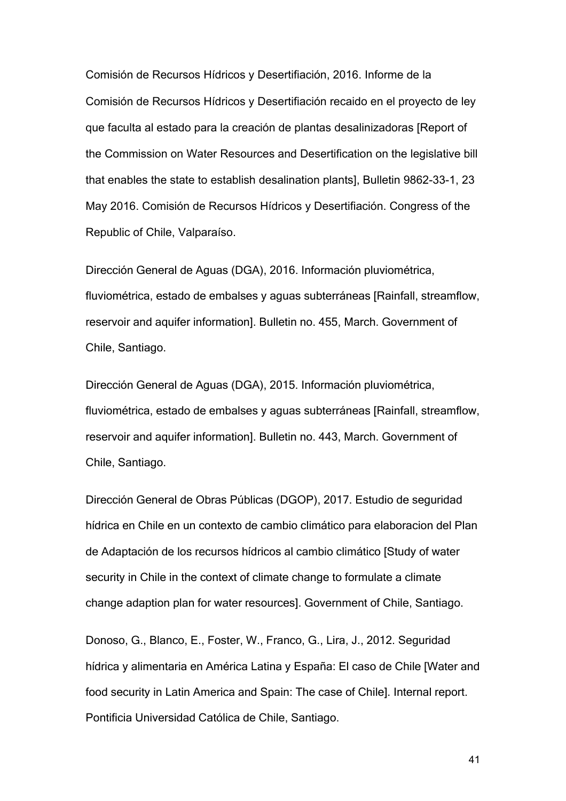Comisión de Recursos Hídricos y Desertifiación, 2016. Informe de la Comisión de Recursos Hídricos y Desertifiación recaido en el proyecto de ley que faculta al estado para la creación de plantas desalinizadoras [Report of the Commission on Water Resources and Desertification on the legislative bill that enables the state to establish desalination plants], Bulletin 9862-33-1, 23 May 2016. Comisión de Recursos Hídricos y Desertifiación. Congress of the Republic of Chile, Valparaíso.

Dirección General de Aguas (DGA), 2016. Información pluviométrica, fluviométrica, estado de embalses y aguas subterráneas [Rainfall, streamflow, reservoir and aquifer information]. Bulletin no. 455, March. Government of Chile, Santiago.

Dirección General de Aguas (DGA), 2015. Información pluviométrica, fluviométrica, estado de embalses y aguas subterráneas [Rainfall, streamflow, reservoir and aquifer information]. Bulletin no. 443, March. Government of Chile, Santiago.

Dirección General de Obras Públicas (DGOP), 2017. Estudio de seguridad hídrica en Chile en un contexto de cambio climático para elaboracion del Plan de Adaptación de los recursos hídricos al cambio climático [Study of water security in Chile in the context of climate change to formulate a climate change adaption plan for water resources]. Government of Chile, Santiago.

Donoso, G., Blanco, E., Foster, W., Franco, G., Lira, J., 2012. Seguridad hídrica y alimentaria en América Latina y España: El caso de Chile [Water and food security in Latin America and Spain: The case of Chile]. Internal report. Pontificia Universidad Católica de Chile, Santiago.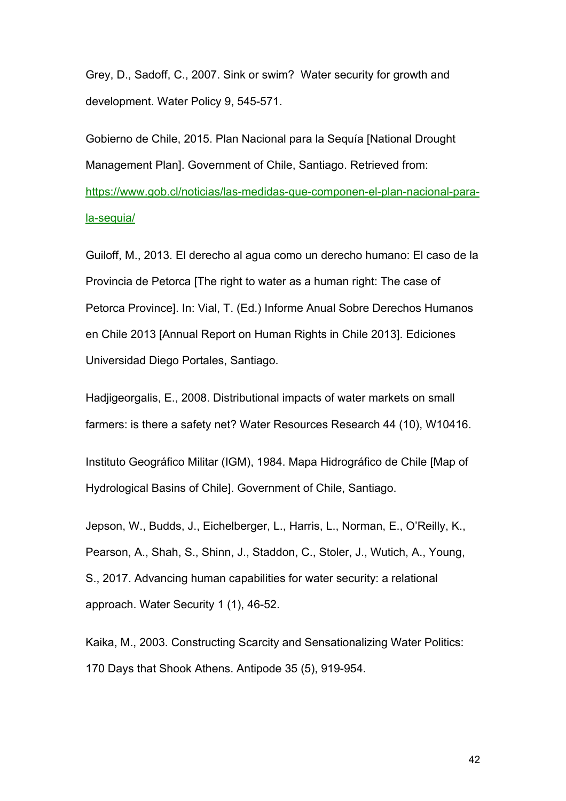Grey, D., Sadoff, C., 2007. Sink or swim? Water security for growth and development. Water Policy 9, 545-571.

Gobierno de Chile, 2015. Plan Nacional para la Sequía [National Drought Management Plan]. Government of Chile, Santiago. Retrieved from: https://www.gob.cl/noticias/las-medidas-que-componen-el-plan-nacional-parala-sequia/

Guiloff, M., 2013. El derecho al agua como un derecho humano: El caso de la Provincia de Petorca [The right to water as a human right: The case of Petorca Province]. In: Vial, T. (Ed.) Informe Anual Sobre Derechos Humanos en Chile 2013 [Annual Report on Human Rights in Chile 2013]. Ediciones Universidad Diego Portales, Santiago.

Hadjigeorgalis, E., 2008. Distributional impacts of water markets on small farmers: is there a safety net? Water Resources Research 44 (10), W10416.

Instituto Geográfico Militar (IGM), 1984. Mapa Hidrográfico de Chile [Map of Hydrological Basins of Chile]. Government of Chile, Santiago.

Jepson, W., Budds, J., Eichelberger, L., Harris, L., Norman, E., O'Reilly, K., Pearson, A., Shah, S., Shinn, J., Staddon, C., Stoler, J., Wutich, A., Young, S., 2017. Advancing human capabilities for water security: a relational approach. Water Security 1 (1), 46-52.

Kaika, M., 2003. Constructing Scarcity and Sensationalizing Water Politics: 170 Days that Shook Athens. Antipode 35 (5), 919-954.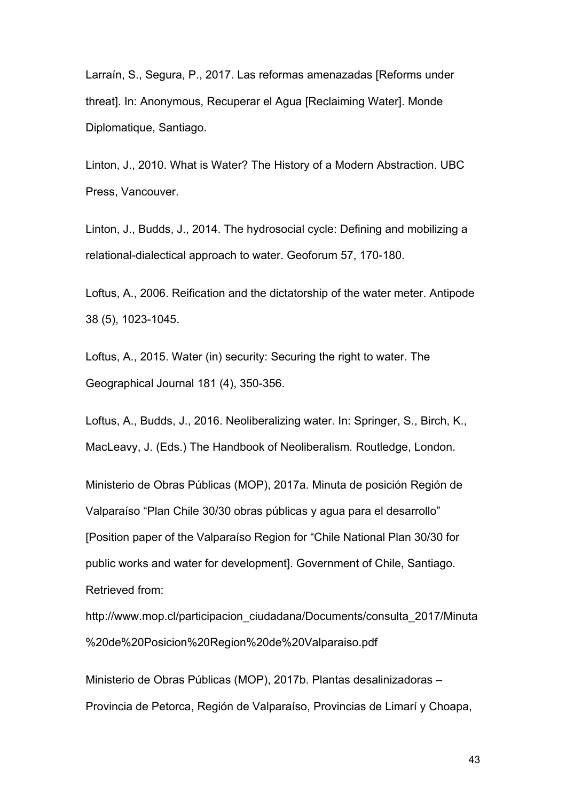Larraín, S., Segura, P., 2017. Las reformas amenazadas [Reforms under threat]. In: Anonymous, Recuperar el Agua [Reclaiming Water]. Monde Diplomatique, Santiago.

Linton, J., 2010. What is Water? The History of a Modern Abstraction. UBC Press, Vancouver.

Linton, J., Budds, J., 2014. The hydrosocial cycle: Defining and mobilizing a relational-dialectical approach to water. Geoforum 57, 170-180.

Loftus, A., 2006. Reification and the dictatorship of the water meter. Antipode 38 (5), 1023-1045.

Loftus, A., 2015. Water (in) security: Securing the right to water. The Geographical Journal 181 (4), 350-356.

Loftus, A., Budds, J., 2016. Neoliberalizing water. In: Springer, S., Birch, K., MacLeavy, J. (Eds.) The Handbook of Neoliberalism*.* Routledge, London.

Ministerio de Obras Públicas (MOP), 2017a. Minuta de posición Región de Valparaíso "Plan Chile 30/30 obras públicas y agua para el desarrollo" [Position paper of the Valparaíso Region for "Chile National Plan 30/30 for public works and water for development]. Government of Chile, Santiago. Retrieved from:

http://www.mop.cl/participacion\_ciudadana/Documents/consulta\_2017/Minuta %20de%20Posicion%20Region%20de%20Valparaiso.pdf

Ministerio de Obras Públicas (MOP), 2017b. Plantas desalinizadoras – Provincia de Petorca, Región de Valparaíso, Provincias de Limarí y Choapa,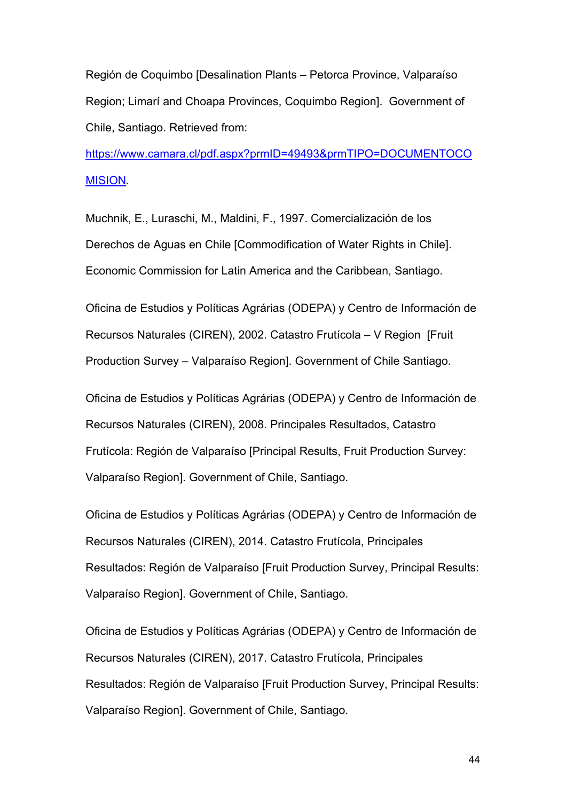Región de Coquimbo [Desalination Plants – Petorca Province, Valparaíso Region; Limarí and Choapa Provinces, Coquimbo Region]. Government of Chile, Santiago. Retrieved from:

https://www.camara.cl/pdf.aspx?prmID=49493&prmTIPO=DOCUMENTOCO MISION. 

Muchnik, E., Luraschi, M., Maldini, F., 1997. Comercialización de los Derechos de Aguas en Chile [Commodification of Water Rights in Chile]. Economic Commission for Latin America and the Caribbean, Santiago.

Oficina de Estudios y Políticas Agrárias (ODEPA) y Centro de Información de Recursos Naturales (CIREN), 2002. Catastro Frutícola – V Region [Fruit Production Survey – Valparaíso Region]. Government of Chile Santiago.

Oficina de Estudios y Políticas Agrárias (ODEPA) y Centro de Información de Recursos Naturales (CIREN), 2008. Principales Resultados, Catastro Frutícola: Región de Valparaíso [Principal Results, Fruit Production Survey: Valparaíso Region]. Government of Chile, Santiago.

Oficina de Estudios y Políticas Agrárias (ODEPA) y Centro de Información de Recursos Naturales (CIREN), 2014. Catastro Frutícola, Principales Resultados: Región de Valparaíso [Fruit Production Survey, Principal Results: Valparaíso Region]. Government of Chile, Santiago.

Oficina de Estudios y Políticas Agrárias (ODEPA) y Centro de Información de Recursos Naturales (CIREN), 2017. Catastro Frutícola, Principales Resultados: Región de Valparaíso [Fruit Production Survey, Principal Results: Valparaíso Region]. Government of Chile, Santiago.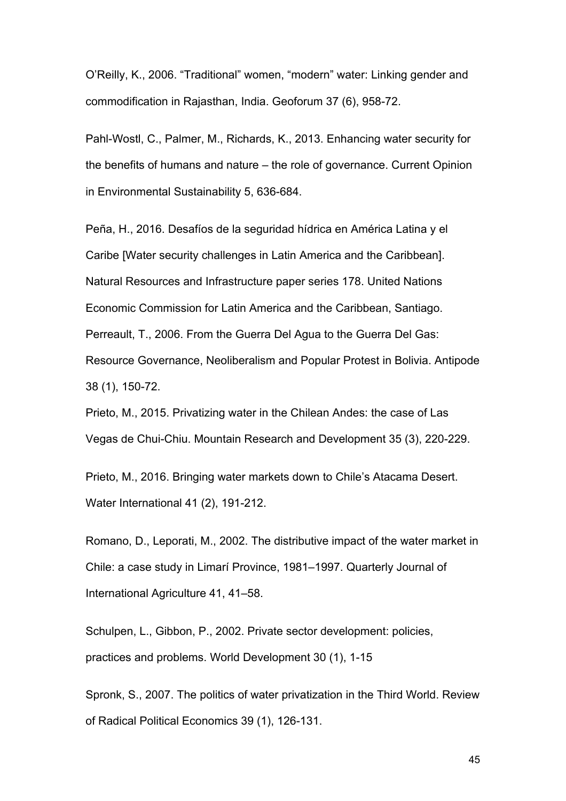O'Reilly, K., 2006. "Traditional" women, "modern" water: Linking gender and commodification in Rajasthan, India. Geoforum 37 (6), 958-72.

Pahl-Wostl, C., Palmer, M., Richards, K., 2013. Enhancing water security for the benefits of humans and nature – the role of governance. Current Opinion in Environmental Sustainability 5, 636-684.

Peña, H., 2016. Desafíos de la seguridad hídrica en América Latina y el Caribe [Water security challenges in Latin America and the Caribbean]. Natural Resources and Infrastructure paper series 178. United Nations Economic Commission for Latin America and the Caribbean, Santiago. Perreault, T., 2006. From the Guerra Del Agua to the Guerra Del Gas: Resource Governance, Neoliberalism and Popular Protest in Bolivia. Antipode 38 (1), 150-72.

Prieto, M., 2015. Privatizing water in the Chilean Andes: the case of Las Vegas de Chui-Chiu. Mountain Research and Development 35 (3), 220-229.

Prieto, M., 2016. Bringing water markets down to Chile's Atacama Desert. Water International 41 (2), 191-212.

Romano, D., Leporati, M., 2002. The distributive impact of the water market in Chile: a case study in Limarí Province, 1981–1997. Quarterly Journal of International Agriculture 41, 41–58.

Schulpen, L., Gibbon, P., 2002. Private sector development: policies, practices and problems. World Development 30 (1), 1-15

Spronk, S., 2007. The politics of water privatization in the Third World. Review of Radical Political Economics 39 (1), 126-131.